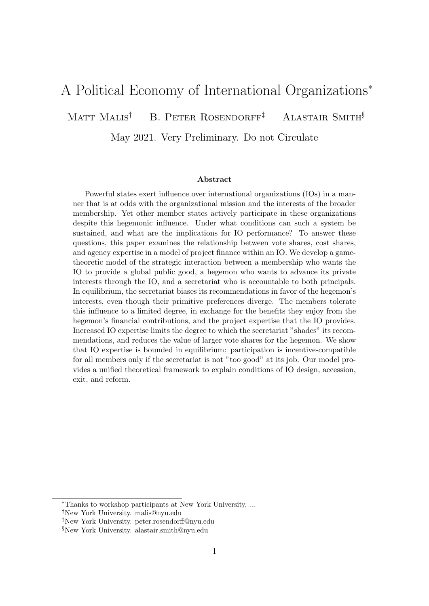# A Political Economy of International Organizations<sup>∗</sup>

MATT MALIS<sup>†</sup> B. PETER ROSENDORFF<sup>‡</sup> ALASTAIR SMITH<sup>§</sup>

May 2021. Very Preliminary. Do not Circulate

#### Abstract

Powerful states exert influence over international organizations (IOs) in a manner that is at odds with the organizational mission and the interests of the broader membership. Yet other member states actively participate in these organizations despite this hegemonic influence. Under what conditions can such a system be sustained, and what are the implications for IO performance? To answer these questions, this paper examines the relationship between vote shares, cost shares, and agency expertise in a model of project finance within an IO. We develop a gametheoretic model of the strategic interaction between a membership who wants the IO to provide a global public good, a hegemon who wants to advance its private interests through the IO, and a secretariat who is accountable to both principals. In equilibrium, the secretariat biases its recommendations in favor of the hegemon's interests, even though their primitive preferences diverge. The members tolerate this influence to a limited degree, in exchange for the benefits they enjoy from the hegemon's financial contributions, and the project expertise that the IO provides. Increased IO expertise limits the degree to which the secretariat "shades" its recommendations, and reduces the value of larger vote shares for the hegemon. We show that IO expertise is bounded in equilibrium: participation is incentive-compatible for all members only if the secretariat is not "too good" at its job. Our model provides a unified theoretical framework to explain conditions of IO design, accession, exit, and reform.

<sup>∗</sup>Thanks to workshop participants at New York University, ...

<sup>†</sup>New York University. malis@nyu.edu

<sup>‡</sup>New York University. peter.rosendorff@nyu.edu

<sup>§</sup>New York University. alastair.smith@nyu.edu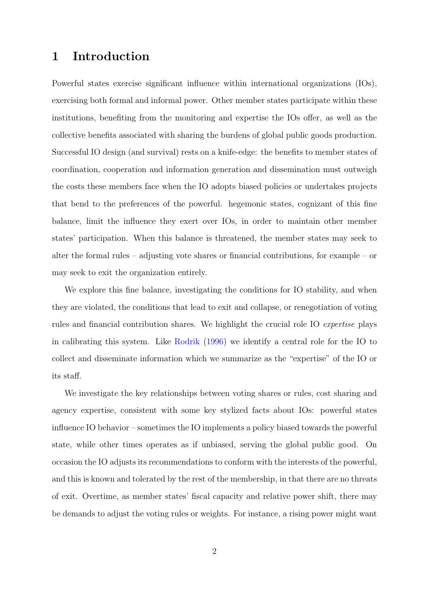# 1 Introduction

Powerful states exercise significant influence within international organizations (IOs), exercising both formal and informal power. Other member states participate within these institutions, benefiting from the monitoring and expertise the IOs offer, as well as the collective benefits associated with sharing the burdens of global public goods production. Successful IO design (and survival) rests on a knife-edge: the benefits to member states of coordination, cooperation and information generation and dissemination must outweigh the costs these members face when the IO adopts biased policies or undertakes projects that bend to the preferences of the powerful. hegemonic states, cognizant of this fine balance, limit the influence they exert over IOs, in order to maintain other member states' participation. When this balance is threatened, the member states may seek to alter the formal rules – adjusting vote shares or financial contributions, for example – or may seek to exit the organization entirely.

We explore this fine balance, investigating the conditions for IO stability, and when they are violated, the conditions that lead to exit and collapse, or renegotiation of voting rules and financial contribution shares. We highlight the crucial role IO expertise plays in calibrating this system. Like [Rodrik](#page-39-0) [\(1996\)](#page-39-0) we identify a central role for the IO to collect and disseminate information which we summarize as the "expertise" of the IO or its staff.

We investigate the key relationships between voting shares or rules, cost sharing and agency expertise, consistent with some key stylized facts about IOs: powerful states influence IO behavior – sometimes the IO implements a policy biased towards the powerful state, while other times operates as if unbiased, serving the global public good. On occasion the IO adjusts its recommendations to conform with the interests of the powerful, and this is known and tolerated by the rest of the membership, in that there are no threats of exit. Overtime, as member states' fiscal capacity and relative power shift, there may be demands to adjust the voting rules or weights. For instance, a rising power might want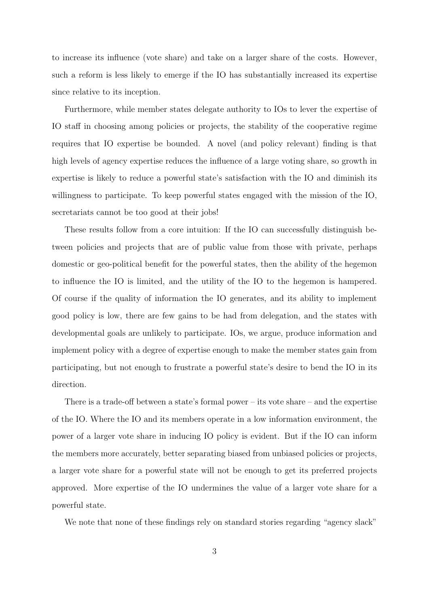to increase its influence (vote share) and take on a larger share of the costs. However, such a reform is less likely to emerge if the IO has substantially increased its expertise since relative to its inception.

Furthermore, while member states delegate authority to IOs to lever the expertise of IO staff in choosing among policies or projects, the stability of the cooperative regime requires that IO expertise be bounded. A novel (and policy relevant) finding is that high levels of agency expertise reduces the influence of a large voting share, so growth in expertise is likely to reduce a powerful state's satisfaction with the IO and diminish its willingness to participate. To keep powerful states engaged with the mission of the IO, secretariats cannot be too good at their jobs!

These results follow from a core intuition: If the IO can successfully distinguish between policies and projects that are of public value from those with private, perhaps domestic or geo-political benefit for the powerful states, then the ability of the hegemon to influence the IO is limited, and the utility of the IO to the hegemon is hampered. Of course if the quality of information the IO generates, and its ability to implement good policy is low, there are few gains to be had from delegation, and the states with developmental goals are unlikely to participate. IOs, we argue, produce information and implement policy with a degree of expertise enough to make the member states gain from participating, but not enough to frustrate a powerful state's desire to bend the IO in its direction.

There is a trade-off between a state's formal power – its vote share – and the expertise of the IO. Where the IO and its members operate in a low information environment, the power of a larger vote share in inducing IO policy is evident. But if the IO can inform the members more accurately, better separating biased from unbiased policies or projects, a larger vote share for a powerful state will not be enough to get its preferred projects approved. More expertise of the IO undermines the value of a larger vote share for a powerful state.

We note that none of these findings rely on standard stories regarding "agency slack"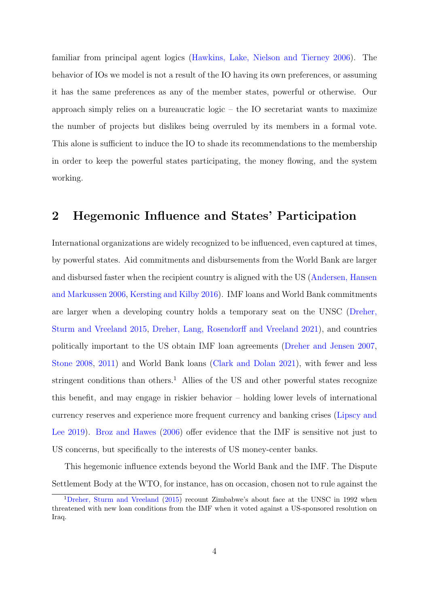familiar from principal agent logics [\(Hawkins, Lake, Nielson and Tierney](#page-39-1) [2006\)](#page-39-1). The behavior of IOs we model is not a result of the IO having its own preferences, or assuming it has the same preferences as any of the member states, powerful or otherwise. Our approach simply relies on a bureaucratic logic – the IO secretariat wants to maximize the number of projects but dislikes being overruled by its members in a formal vote. This alone is sufficient to induce the IO to shade its recommendations to the membership in order to keep the powerful states participating, the money flowing, and the system working.

## 2 Hegemonic Influence and States' Participation

International organizations are widely recognized to be influenced, even captured at times, by powerful states. Aid commitments and disbursements from the World Bank are larger and disbursed faster when the recipient country is aligned with the US [\(Andersen, Hansen](#page-38-0) [and Markussen](#page-38-0) [2006,](#page-38-0) [Kersting and Kilby](#page-39-2) [2016\)](#page-39-2). IMF loans and World Bank commitments are larger when a developing country holds a temporary seat on the UNSC [\(Dreher,](#page-38-1) [Sturm and Vreeland](#page-38-1) [2015,](#page-38-1) [Dreher, Lang, Rosendorff and Vreeland](#page-38-2) [2021\)](#page-38-2), and countries politically important to the US obtain IMF loan agreements [\(Dreher and Jensen](#page-38-3) [2007,](#page-38-3) [Stone](#page-39-3) [2008,](#page-39-3) [2011\)](#page-39-4) and World Bank loans [\(Clark and Dolan](#page-38-4) [2021\)](#page-38-4), with fewer and less stringent conditions than others.<sup>[1](#page-3-0)</sup> Allies of the US and other powerful states recognize this benefit, and may engage in riskier behavior – holding lower levels of international currency reserves and experience more frequent currency and banking crises [\(Lipscy and](#page-39-5) [Lee](#page-39-5) [2019\)](#page-39-5). [Broz and Hawes](#page-38-5) [\(2006\)](#page-38-5) offer evidence that the IMF is sensitive not just to US concerns, but specifically to the interests of US money-center banks.

This hegemonic influence extends beyond the World Bank and the IMF. The Dispute Settlement Body at the WTO, for instance, has on occasion, chosen not to rule against the

<span id="page-3-0"></span><sup>1</sup>[Dreher, Sturm and Vreeland](#page-38-1) [\(2015\)](#page-38-1) recount Zimbabwe's about face at the UNSC in 1992 when threatened with new loan conditions from the IMF when it voted against a US-sponsored resolution on Iraq.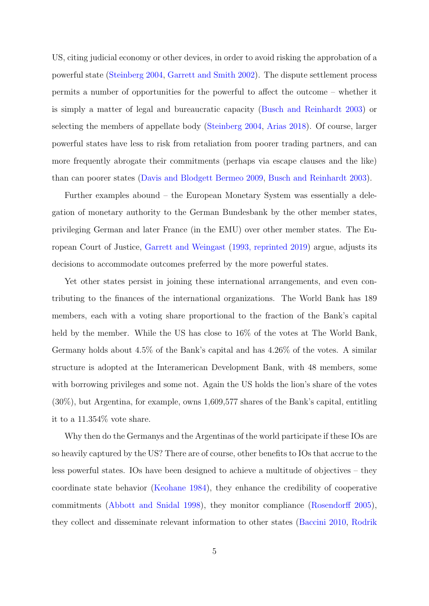US, citing judicial economy or other devices, in order to avoid risking the approbation of a powerful state [\(Steinberg](#page-39-6) [2004,](#page-39-6) [Garrett and Smith](#page-38-6) [2002\)](#page-38-6). The dispute settlement process permits a number of opportunities for the powerful to affect the outcome – whether it is simply a matter of legal and bureaucratic capacity [\(Busch and Reinhardt](#page-38-7) [2003\)](#page-38-7) or selecting the members of appellate body [\(Steinberg](#page-39-6) [2004,](#page-39-6) [Arias](#page-38-8) [2018\)](#page-38-8). Of course, larger powerful states have less to risk from retaliation from poorer trading partners, and can more frequently abrogate their commitments (perhaps via escape clauses and the like) than can poorer states [\(Davis and Blodgett Bermeo](#page-38-9) [2009,](#page-38-9) [Busch and Reinhardt](#page-38-7) [2003\)](#page-38-7).

Further examples abound – the European Monetary System was essentially a delegation of monetary authority to the German Bundesbank by the other member states, privileging German and later France (in the EMU) over other member states. The European Court of Justice, [Garrett and Weingast](#page-38-10) [\(1993, reprinted 2019\)](#page-38-10) argue, adjusts its decisions to accommodate outcomes preferred by the more powerful states.

Yet other states persist in joining these international arrangements, and even contributing to the finances of the international organizations. The World Bank has 189 members, each with a voting share proportional to the fraction of the Bank's capital held by the member. While the US has close to 16% of the votes at The World Bank, Germany holds about 4.5% of the Bank's capital and has 4.26% of the votes. A similar structure is adopted at the Interamerican Development Bank, with 48 members, some with borrowing privileges and some not. Again the US holds the lion's share of the votes (30%), but Argentina, for example, owns 1,609,577 shares of the Bank's capital, entitling it to a 11.354% vote share.

Why then do the Germanys and the Argentinas of the world participate if these IOs are so heavily captured by the US? There are of course, other benefits to IOs that accrue to the less powerful states. IOs have been designed to achieve a multitude of objectives – they coordinate state behavior [\(Keohane](#page-39-7) [1984\)](#page-39-7), they enhance the credibility of cooperative commitments [\(Abbott and Snidal](#page-38-11) [1998\)](#page-38-11), they monitor compliance [\(Rosendorff](#page-39-8) [2005\)](#page-39-8), they collect and disseminate relevant information to other states [\(Baccini](#page-38-12) [2010,](#page-38-12) [Rodrik](#page-39-0)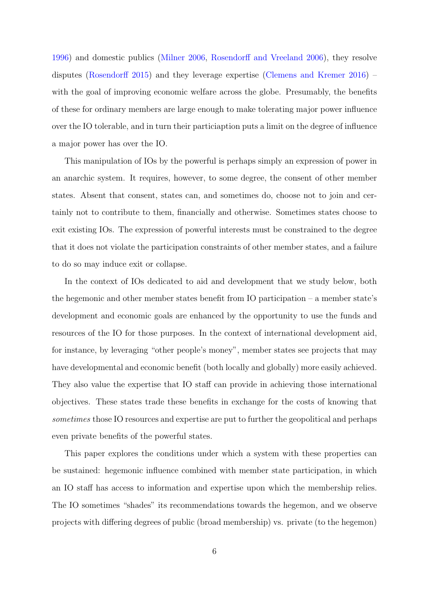[1996\)](#page-39-0) and domestic publics [\(Milner](#page-39-9) [2006,](#page-39-9) [Rosendorff and Vreeland](#page-39-10) [2006\)](#page-39-10), they resolve disputes [\(Rosendorff](#page-39-11) [2015\)](#page-39-11) and they leverage expertise [\(Clemens and Kremer](#page-38-13) [2016\)](#page-38-13) – with the goal of improving economic welfare across the globe. Presumably, the benefits of these for ordinary members are large enough to make tolerating major power influence over the IO tolerable, and in turn their particiaption puts a limit on the degree of influence a major power has over the IO.

This manipulation of IOs by the powerful is perhaps simply an expression of power in an anarchic system. It requires, however, to some degree, the consent of other member states. Absent that consent, states can, and sometimes do, choose not to join and certainly not to contribute to them, financially and otherwise. Sometimes states choose to exit existing IOs. The expression of powerful interests must be constrained to the degree that it does not violate the participation constraints of other member states, and a failure to do so may induce exit or collapse.

In the context of IOs dedicated to aid and development that we study below, both the hegemonic and other member states benefit from IO participation – a member state's development and economic goals are enhanced by the opportunity to use the funds and resources of the IO for those purposes. In the context of international development aid, for instance, by leveraging "other people's money", member states see projects that may have developmental and economic benefit (both locally and globally) more easily achieved. They also value the expertise that IO staff can provide in achieving those international objectives. These states trade these benefits in exchange for the costs of knowing that sometimes those IO resources and expertise are put to further the geopolitical and perhaps even private benefits of the powerful states.

This paper explores the conditions under which a system with these properties can be sustained: hegemonic influence combined with member state participation, in which an IO staff has access to information and expertise upon which the membership relies. The IO sometimes "shades" its recommendations towards the hegemon, and we observe projects with differing degrees of public (broad membership) vs. private (to the hegemon)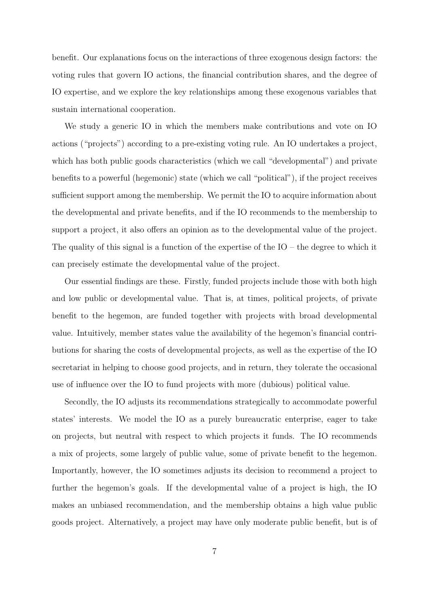benefit. Our explanations focus on the interactions of three exogenous design factors: the voting rules that govern IO actions, the financial contribution shares, and the degree of IO expertise, and we explore the key relationships among these exogenous variables that sustain international cooperation.

We study a generic IO in which the members make contributions and vote on IO actions ("projects") according to a pre-existing voting rule. An IO undertakes a project, which has both public goods characteristics (which we call "developmental") and private benefits to a powerful (hegemonic) state (which we call "political"), if the project receives sufficient support among the membership. We permit the IO to acquire information about the developmental and private benefits, and if the IO recommends to the membership to support a project, it also offers an opinion as to the developmental value of the project. The quality of this signal is a function of the expertise of the  $IO$  – the degree to which it can precisely estimate the developmental value of the project.

Our essential findings are these. Firstly, funded projects include those with both high and low public or developmental value. That is, at times, political projects, of private benefit to the hegemon, are funded together with projects with broad developmental value. Intuitively, member states value the availability of the hegemon's financial contributions for sharing the costs of developmental projects, as well as the expertise of the IO secretariat in helping to choose good projects, and in return, they tolerate the occasional use of influence over the IO to fund projects with more (dubious) political value.

Secondly, the IO adjusts its recommendations strategically to accommodate powerful states' interests. We model the IO as a purely bureaucratic enterprise, eager to take on projects, but neutral with respect to which projects it funds. The IO recommends a mix of projects, some largely of public value, some of private benefit to the hegemon. Importantly, however, the IO sometimes adjusts its decision to recommend a project to further the hegemon's goals. If the developmental value of a project is high, the IO makes an unbiased recommendation, and the membership obtains a high value public goods project. Alternatively, a project may have only moderate public benefit, but is of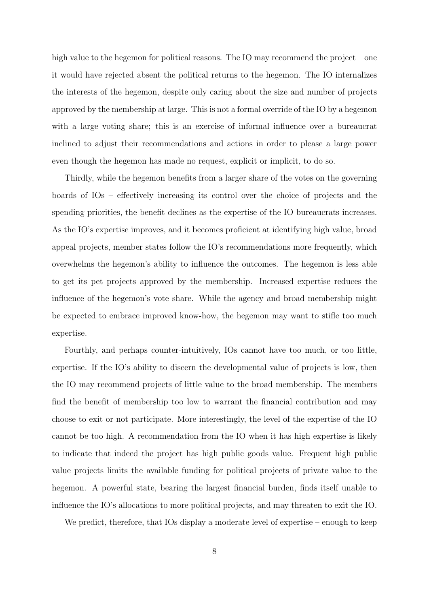high value to the hegemon for political reasons. The IO may recommend the project – one it would have rejected absent the political returns to the hegemon. The IO internalizes the interests of the hegemon, despite only caring about the size and number of projects approved by the membership at large. This is not a formal override of the IO by a hegemon with a large voting share; this is an exercise of informal influence over a bureaucrat inclined to adjust their recommendations and actions in order to please a large power even though the hegemon has made no request, explicit or implicit, to do so.

Thirdly, while the hegemon benefits from a larger share of the votes on the governing boards of IOs – effectively increasing its control over the choice of projects and the spending priorities, the benefit declines as the expertise of the IO bureaucrats increases. As the IO's expertise improves, and it becomes proficient at identifying high value, broad appeal projects, member states follow the IO's recommendations more frequently, which overwhelms the hegemon's ability to influence the outcomes. The hegemon is less able to get its pet projects approved by the membership. Increased expertise reduces the influence of the hegemon's vote share. While the agency and broad membership might be expected to embrace improved know-how, the hegemon may want to stifle too much expertise.

Fourthly, and perhaps counter-intuitively, IOs cannot have too much, or too little, expertise. If the IO's ability to discern the developmental value of projects is low, then the IO may recommend projects of little value to the broad membership. The members find the benefit of membership too low to warrant the financial contribution and may choose to exit or not participate. More interestingly, the level of the expertise of the IO cannot be too high. A recommendation from the IO when it has high expertise is likely to indicate that indeed the project has high public goods value. Frequent high public value projects limits the available funding for political projects of private value to the hegemon. A powerful state, bearing the largest financial burden, finds itself unable to influence the IO's allocations to more political projects, and may threaten to exit the IO.

We predict, therefore, that IOs display a moderate level of expertise – enough to keep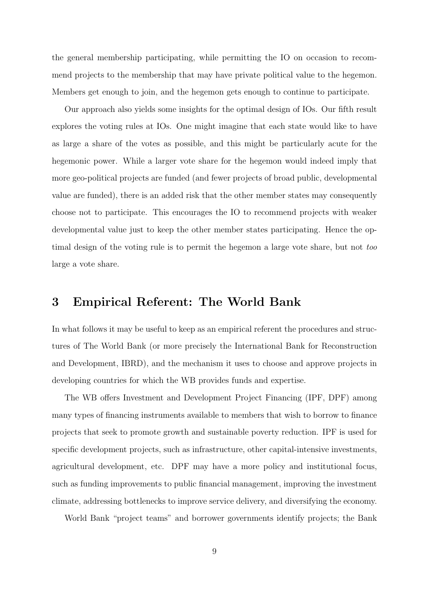the general membership participating, while permitting the IO on occasion to recommend projects to the membership that may have private political value to the hegemon. Members get enough to join, and the hegemon gets enough to continue to participate.

Our approach also yields some insights for the optimal design of IOs. Our fifth result explores the voting rules at IOs. One might imagine that each state would like to have as large a share of the votes as possible, and this might be particularly acute for the hegemonic power. While a larger vote share for the hegemon would indeed imply that more geo-political projects are funded (and fewer projects of broad public, developmental value are funded), there is an added risk that the other member states may consequently choose not to participate. This encourages the IO to recommend projects with weaker developmental value just to keep the other member states participating. Hence the optimal design of the voting rule is to permit the hegemon a large vote share, but not too large a vote share.

### 3 Empirical Referent: The World Bank

In what follows it may be useful to keep as an empirical referent the procedures and structures of The World Bank (or more precisely the International Bank for Reconstruction and Development, IBRD), and the mechanism it uses to choose and approve projects in developing countries for which the WB provides funds and expertise.

The WB offers Investment and Development Project Financing (IPF, DPF) among many types of financing instruments available to members that wish to borrow to finance projects that seek to promote growth and sustainable poverty reduction. IPF is used for specific development projects, such as infrastructure, other capital-intensive investments, agricultural development, etc. DPF may have a more policy and institutional focus, such as funding improvements to public financial management, improving the investment climate, addressing bottlenecks to improve service delivery, and diversifying the economy.

World Bank "project teams" and borrower governments identify projects; the Bank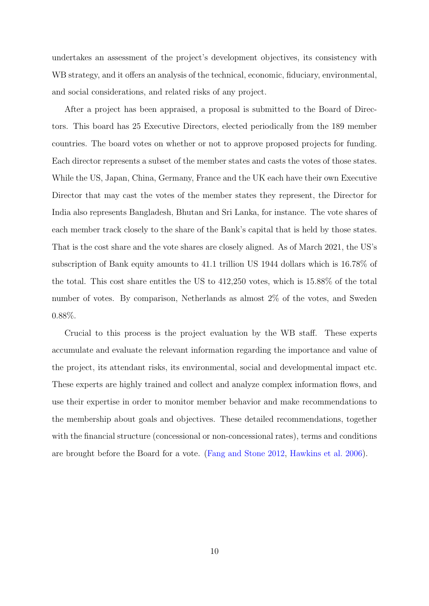undertakes an assessment of the project's development objectives, its consistency with WB strategy, and it offers an analysis of the technical, economic, fiduciary, environmental, and social considerations, and related risks of any project.

After a project has been appraised, a proposal is submitted to the Board of Directors. This board has 25 Executive Directors, elected periodically from the 189 member countries. The board votes on whether or not to approve proposed projects for funding. Each director represents a subset of the member states and casts the votes of those states. While the US, Japan, China, Germany, France and the UK each have their own Executive Director that may cast the votes of the member states they represent, the Director for India also represents Bangladesh, Bhutan and Sri Lanka, for instance. The vote shares of each member track closely to the share of the Bank's capital that is held by those states. That is the cost share and the vote shares are closely aligned. As of March 2021, the US's subscription of Bank equity amounts to 41.1 trillion US 1944 dollars which is 16.78% of the total. This cost share entitles the US to 412,250 votes, which is 15.88% of the total number of votes. By comparison, Netherlands as almost 2% of the votes, and Sweden 0.88%.

Crucial to this process is the project evaluation by the WB staff. These experts accumulate and evaluate the relevant information regarding the importance and value of the project, its attendant risks, its environmental, social and developmental impact etc. These experts are highly trained and collect and analyze complex information flows, and use their expertise in order to monitor member behavior and make recommendations to the membership about goals and objectives. These detailed recommendations, together with the financial structure (concessional or non-concessional rates), terms and conditions are brought before the Board for a vote. [\(Fang and Stone](#page-38-14) [2012,](#page-38-14) [Hawkins et al.](#page-39-1) [2006\)](#page-39-1).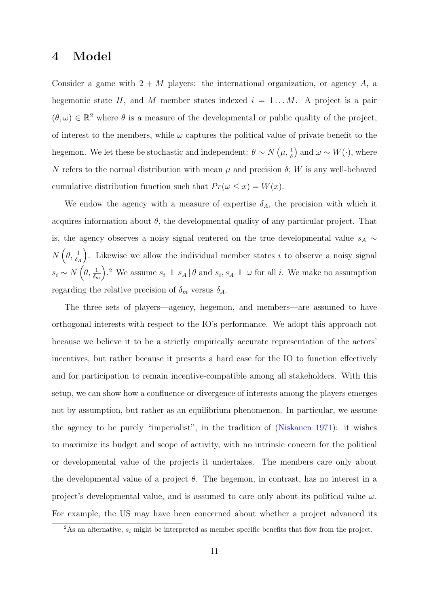### 4 Model

Consider a game with  $2 + M$  players: the international organization, or agency A, a hegemonic state H, and M member states indexed  $i = 1...M$ . A project is a pair  $(\theta, \omega) \in \mathbb{R}^2$  where  $\theta$  is a measure of the developmental or public quality of the project, of interest to the members, while  $\omega$  captures the political value of private benefit to the hegemon. We let these be stochastic and independent:  $\theta \sim N(\mu, \frac{1}{\delta})$  and  $\omega \sim W(\cdot)$ , where N refers to the normal distribution with mean  $\mu$  and precision  $\delta$ ; W is any well-behaved cumulative distribution function such that  $Pr(\omega \leq x) = W(x)$ .

We endow the agency with a measure of expertise  $\delta_A$ , the precision with which it acquires information about  $\theta$ , the developmental quality of any particular project. That is, the agency observes a noisy signal centered on the true developmental value  $s_A \sim$  $N\left(\theta,\frac{1}{\delta_A}\right)$ ). Likewise we allow the individual member states  $i$  to observe a noisy signal  $s_i \sim N\left(\theta, \frac{1}{\delta_m}\right)$ ).<sup>[2](#page-10-0)</sup> We assume  $s_i \perp s_A \mid \theta$  and  $s_i, s_A \perp \omega$  for all i. We make no assumption regarding the relative precision of  $\delta_m$  versus  $\delta_A$ .

The three sets of players—agency, hegemon, and members—are assumed to have orthogonal interests with respect to the IO's performance. We adopt this approach not because we believe it to be a strictly empirically accurate representation of the actors' incentives, but rather because it presents a hard case for the IO to function effectively and for participation to remain incentive-compatible among all stakeholders. With this setup, we can show how a confluence or divergence of interests among the players emerges not by assumption, but rather as an equilibrium phenomenon. In particular, we assume the agency to be purely "imperialist", in the tradition of [\(Niskanen](#page-39-12) [1971\)](#page-39-12): it wishes to maximize its budget and scope of activity, with no intrinsic concern for the political or developmental value of the projects it undertakes. The members care only about the developmental value of a project  $\theta$ . The hegemon, in contrast, has no interest in a project's developmental value, and is assumed to care only about its political value  $\omega$ . For example, the US may have been concerned about whether a project advanced its

<span id="page-10-0"></span><sup>&</sup>lt;sup>2</sup>As an alternative,  $s_i$  might be interpreted as member specific benefits that flow from the project.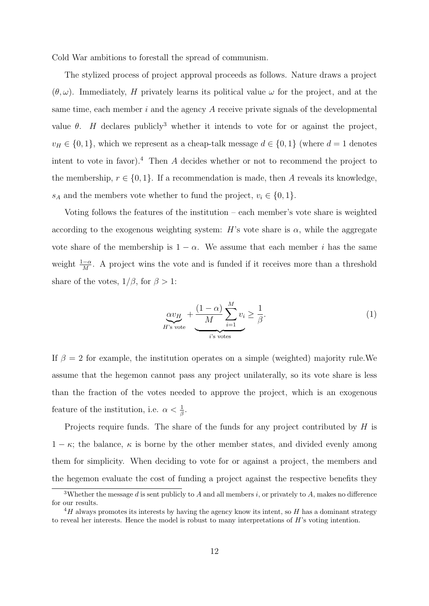Cold War ambitions to forestall the spread of communism.

The stylized process of project approval proceeds as follows. Nature draws a project  $(\theta, \omega)$ . Immediately, H privately learns its political value  $\omega$  for the project, and at the same time, each member  $i$  and the agency  $A$  receive private signals of the developmental value  $\theta$ . H declares publicly<sup>[3](#page-11-0)</sup> whether it intends to vote for or against the project,  $v_H \in \{0, 1\}$ , which we represent as a cheap-talk message  $d \in \{0, 1\}$  (where  $d = 1$  denotes intent to vote in favor).<sup>[4](#page-11-1)</sup> Then  $A$  decides whether or not to recommend the project to the membership,  $r \in \{0, 1\}$ . If a recommendation is made, then A reveals its knowledge,  $s_A$  and the members vote whether to fund the project,  $v_i \in \{0, 1\}.$ 

Voting follows the features of the institution – each member's vote share is weighted according to the exogenous weighting system: H's vote share is  $\alpha$ , while the aggregate vote share of the membership is  $1 - \alpha$ . We assume that each member i has the same weight  $\frac{1-\alpha}{M}$ . A project wins the vote and is funded if it receives more than a threshold share of the votes,  $1/\beta$ , for  $\beta > 1$ :

<span id="page-11-2"></span>
$$
\underbrace{\alpha v_H}_{H's \text{ vote}} + \underbrace{\frac{(1-\alpha)}{M} \sum_{i=1}^{M} v_i \ge \frac{1}{\beta}}_{i's \text{ votes}}.
$$
\n(1)

If  $\beta = 2$  for example, the institution operates on a simple (weighted) majority rule. We assume that the hegemon cannot pass any project unilaterally, so its vote share is less than the fraction of the votes needed to approve the project, which is an exogenous feature of the institution, i.e.  $\alpha < \frac{1}{\beta}$ .

Projects require funds. The share of the funds for any project contributed by H is  $1 - \kappa$ ; the balance,  $\kappa$  is borne by the other member states, and divided evenly among them for simplicity. When deciding to vote for or against a project, the members and the hegemon evaluate the cost of funding a project against the respective benefits they

<span id="page-11-0"></span><sup>&</sup>lt;sup>3</sup>Whether the message d is sent publicly to A and all members i, or privately to A, makes no difference for our results.

<span id="page-11-1"></span> $^{4}H$  always promotes its interests by having the agency know its intent, so H has a dominant strategy to reveal her interests. Hence the model is robust to many interpretations of H's voting intention.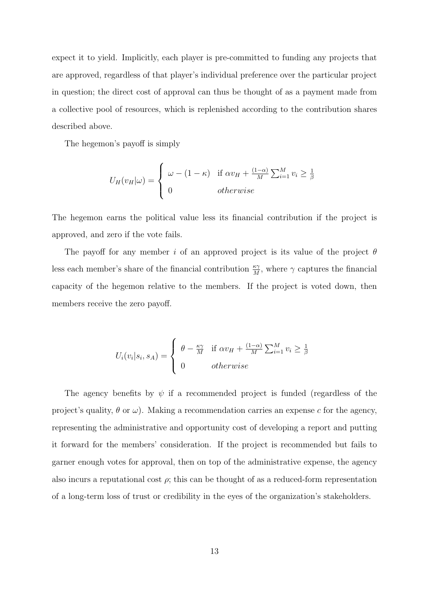expect it to yield. Implicitly, each player is pre-committed to funding any projects that are approved, regardless of that player's individual preference over the particular project in question; the direct cost of approval can thus be thought of as a payment made from a collective pool of resources, which is replenished according to the contribution shares described above.

The hegemon's payoff is simply

$$
U_H(v_H|\omega) = \begin{cases} \omega - (1 - \kappa) & \text{if } \alpha v_H + \frac{(1 - \alpha)}{M} \sum_{i=1}^M v_i \ge \frac{1}{\beta} \\ 0 & otherwise \end{cases}
$$

The hegemon earns the political value less its financial contribution if the project is approved, and zero if the vote fails.

The payoff for any member i of an approved project is its value of the project  $\theta$ less each member's share of the financial contribution  $\frac{\kappa \gamma}{M}$ , where  $\gamma$  captures the financial capacity of the hegemon relative to the members. If the project is voted down, then members receive the zero payoff.

$$
U_i(v_i|s_i, s_A) = \begin{cases} \theta - \frac{\kappa \gamma}{M} & \text{if } \alpha v_H + \frac{(1-\alpha)}{M} \sum_{i=1}^M v_i \ge \frac{1}{\beta} \\ 0 & otherwise \end{cases}
$$

The agency benefits by  $\psi$  if a recommended project is funded (regardless of the project's quality,  $\theta$  or  $\omega$ ). Making a recommendation carries an expense c for the agency, representing the administrative and opportunity cost of developing a report and putting it forward for the members' consideration. If the project is recommended but fails to garner enough votes for approval, then on top of the administrative expense, the agency also incurs a reputational cost  $\rho$ ; this can be thought of as a reduced-form representation of a long-term loss of trust or credibility in the eyes of the organization's stakeholders.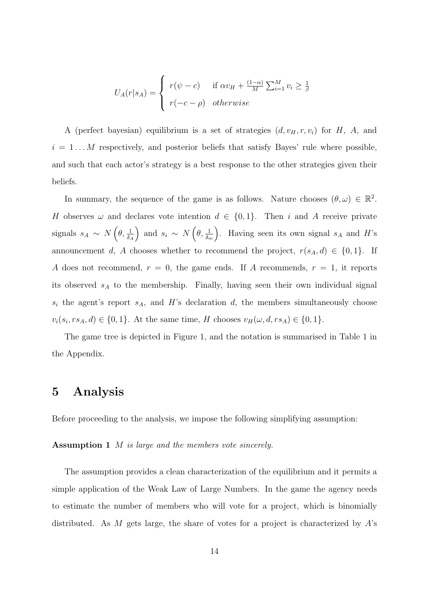$$
U_A(r|s_A) = \begin{cases} r(\psi - c) & \text{if } \alpha v_H + \frac{(1-\alpha)}{M} \sum_{i=1}^M v_i \ge \frac{1}{\beta} \\ r(-c - \rho) & otherwise \end{cases}
$$

A (perfect bayesian) equilibrium is a set of strategies  $(d, v_H, r, v_i)$  for  $H$ ,  $A$ , and  $i = 1...M$  respectively, and posterior beliefs that satisfy Bayes' rule where possible, and such that each actor's strategy is a best response to the other strategies given their beliefs.

In summary, the sequence of the game is as follows. Nature chooses  $(\theta, \omega) \in \mathbb{R}^2$ . H observes  $\omega$  and declares vote intention  $d \in \{0,1\}$ . Then i and A receive private signals  $s_A \sim N\left(\theta, \frac{1}{\delta_A}\right)$ ) and  $s_i \sim N\left(\theta, \frac{1}{\delta_m}\right)$ ). Having seen its own signal  $s_A$  and  $H$ 's announcement d, A chooses whether to recommend the project,  $r(s_A, d) \in \{0, 1\}$ . If A does not recommend,  $r = 0$ , the game ends. If A recommends,  $r = 1$ , it reports its observed  $s_A$  to the membership. Finally, having seen their own individual signal  $s_i$  the agent's report  $s_A$ , and H's declaration d, the members simultaneously choose  $v_i(s_i, rs_A, d) \in \{0, 1\}.$  At the same time, H chooses  $v_H(\omega, d, rs_A) \in \{0, 1\}.$ 

The game tree is depicted in Figure [1,](#page-14-0) and the notation is summarised in Table [1](#page-31-0) in the Appendix.

### 5 Analysis

<span id="page-13-0"></span>Before proceeding to the analysis, we impose the following simplifying assumption:

Assumption 1 M is large and the members vote sincerely.

The assumption provides a clean characterization of the equilibrium and it permits a simple application of the Weak Law of Large Numbers. In the game the agency needs to estimate the number of members who will vote for a project, which is binomially distributed. As M gets large, the share of votes for a project is characterized by A's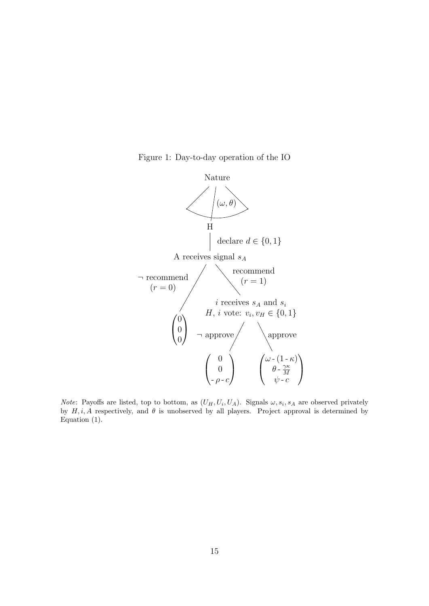Figure 1: Day-to-day operation of the IO

<span id="page-14-0"></span>

*Note*: Payoffs are listed, top to bottom, as  $(U_H, U_i, U_A)$ . Signals  $\omega, s_i, s_A$  are observed privately by  $H, i, A$  respectively, and  $\theta$  is unobserved by all players. Project approval is determined by Equation [\(1\)](#page-11-2).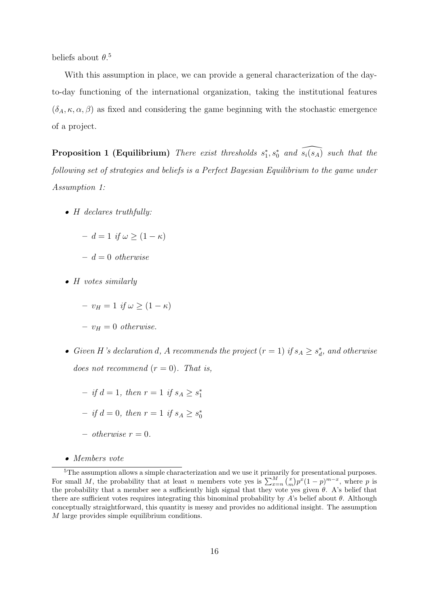beliefs about  $\theta$ <sup>[5](#page-15-0)</sup>

With this assumption in place, we can provide a general characterization of the dayto-day functioning of the international organization, taking the institutional features  $(\delta_A, \kappa, \alpha, \beta)$  as fixed and considering the game beginning with the stochastic emergence of a project.

<span id="page-15-1"></span>**Proposition 1 (Equilibrium)** There exist thresholds  $s_1^*, s_0^*$  and  $\widehat{s_i(s_A)}$  such that the following set of strategies and beliefs is a Perfect Bayesian Equilibrium to the game under Assumption [1:](#page-13-0)

• H declares truthfully:

$$
- d = 1 \text{ if } \omega \ge (1 - \kappa)
$$

- $d = 0$  otherwise
- H votes similarly

 $- v_H = 1$  if  $\omega \geq (1 - \kappa)$ 

- $v_H = 0$  otherwise.
- Given H's declaration d, A recommends the project  $(r = 1)$  if  $s_A \geq s_d^*$ , and otherwise does not recommend  $(r = 0)$ . That is,
	- $-$  if  $d = 1$ , then  $r = 1$  if  $s_A \geq s_1^*$
	- $-$  if  $d = 0$ , then  $r = 1$  if  $s_A \geq s_0^*$
	- otherwise  $r = 0$ .
- <span id="page-15-0"></span>• Members vote

<sup>&</sup>lt;sup>5</sup>The assumption allows a simple characterization and we use it primarily for presentational purposes. For small M, the probability that at least n members vote yes is  $\sum_{x=n}^{M} {x \choose m} p^x (1-p)^{m-x}$ , where p is the probability that a member see a sufficiently high signal that they vote yes given  $\theta$ . A's belief that there are sufficient votes requires integrating this binominal probability by A's belief about  $\theta$ . Although conceptually straightforward, this quantity is messy and provides no additional insight. The assumption M large provides simple equilibrium conditions.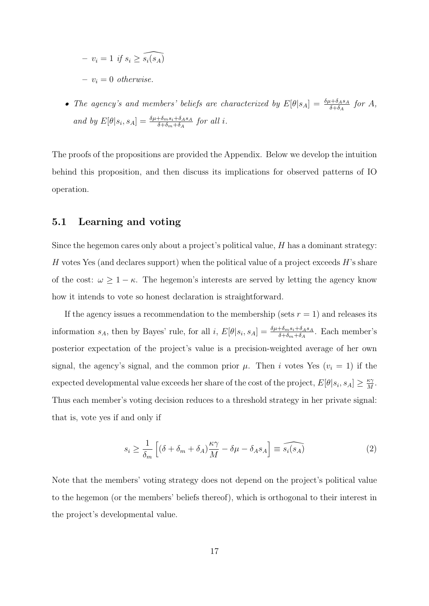$$
- v_i = 1 \text{ if } s_i \ge \widehat{s_i(s_A)}
$$
  

$$
- v_i = 0 \text{ otherwise.}
$$

• The agency's and members' beliefs are characterized by  $E[\theta|s_A] = \frac{\delta \mu + \delta_{A}s_A}{\delta + \delta_{A}}$  for A, and by  $E[\theta|s_i, s_A] = \frac{\delta \mu + \delta_m s_i + \delta_A s_A}{\delta + \delta_m + \delta_A}$  for all i.

The proofs of the propositions are provided the Appendix. Below we develop the intuition behind this proposition, and then discuss its implications for observed patterns of IO operation.

#### 5.1 Learning and voting

Since the hegemon cares only about a project's political value, H has a dominant strategy: H votes Yes (and declares support) when the political value of a project exceeds  $H$ 's share of the cost:  $\omega \geq 1 - \kappa$ . The hegemon's interests are served by letting the agency know how it intends to vote so honest declaration is straightforward.

If the agency issues a recommendation to the membership (sets  $r = 1$ ) and releases its information  $s_A$ , then by Bayes' rule, for all i,  $E[\theta|s_i, s_A] = \frac{\delta \mu + \delta_m s_i + \delta_A s_A}{\delta + \delta_m + \delta_A}$ . Each member's posterior expectation of the project's value is a precision-weighted average of her own signal, the agency's signal, and the common prior  $\mu$ . Then i votes Yes ( $v_i = 1$ ) if the expected developmental value exceeds her share of the cost of the project,  $E[\theta|s_i, s_A] \geq \frac{\kappa \gamma}{M}$  $\frac{\kappa \gamma}{M}$ . Thus each member's voting decision reduces to a threshold strategy in her private signal: that is, vote yes if and only if

<span id="page-16-0"></span>
$$
s_i \ge \frac{1}{\delta_m} \left[ (\delta + \delta_m + \delta_A) \frac{\kappa \gamma}{M} - \delta \mu - \delta_A s_A \right] \equiv \widehat{s_i(s_A)} \tag{2}
$$

Note that the members' voting strategy does not depend on the project's political value to the hegemon (or the members' beliefs thereof), which is orthogonal to their interest in the project's developmental value.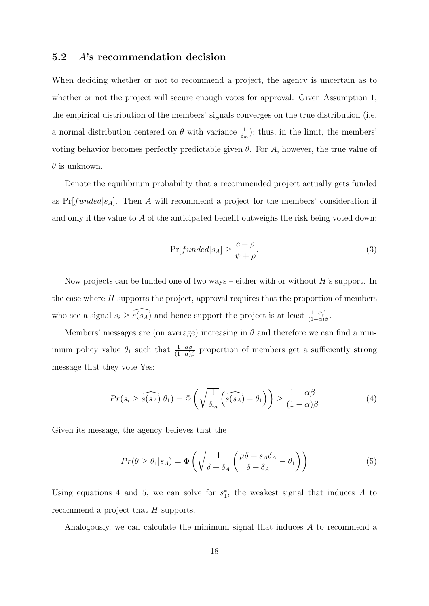#### 5.2 A's recommendation decision

When deciding whether or not to recommend a project, the agency is uncertain as to whether or not the project will secure enough votes for approval. Given Assumption [1,](#page-13-0) the empirical distribution of the members' signals converges on the true distribution (i.e. a normal distribution centered on  $\theta$  with variance  $\frac{1}{\delta_m}$ ; thus, in the limit, the members' voting behavior becomes perfectly predictable given  $\theta$ . For A, however, the true value of  $\theta$  is unknown.

Denote the equilibrium probability that a recommended project actually gets funded as  $Pr[funded|s_A]$ . Then A will recommend a project for the members' consideration if and only if the value to A of the anticipated benefit outweighs the risk being voted down:

<span id="page-17-2"></span>
$$
\Pr[funded|s_A] \ge \frac{c+\rho}{\psi+\rho}.\tag{3}
$$

Now projects can be funded one of two ways – either with or without  $H$ 's support. In the case where  $H$  supports the project, approval requires that the proportion of members who see a signal  $s_i \geq \widehat{s(s_A)}$  and hence support the project is at least  $\frac{1-\alpha\beta}{(1-\alpha)\beta}$ .

Members' messages are (on average) increasing in  $\theta$  and therefore we can find a minimum policy value  $\theta_1$  such that  $\frac{1-\alpha\beta}{(1-\alpha)\beta}$  proportion of members get a sufficiently strong message that they vote Yes:

<span id="page-17-0"></span>
$$
Pr(s_i \ge \widehat{s(s_A)} | \theta_1) = \Phi\left(\sqrt{\frac{1}{\delta_m}} \left(\widehat{s(s_A)} - \theta_1\right)\right) \ge \frac{1 - \alpha\beta}{(1 - \alpha)\beta} \tag{4}
$$

Given its message, the agency believes that the

<span id="page-17-1"></span>
$$
Pr(\theta \ge \theta_1 | s_A) = \Phi\left(\sqrt{\frac{1}{\delta + \delta_A}} \left(\frac{\mu \delta + s_A \delta_A}{\delta + \delta_A} - \theta_1\right)\right) \tag{5}
$$

Using equations [4](#page-17-0) and [5,](#page-17-1) we can solve for  $s_1^*$ , the weakest signal that induces A to recommend a project that H supports.

Analogously, we can calculate the minimum signal that induces A to recommend a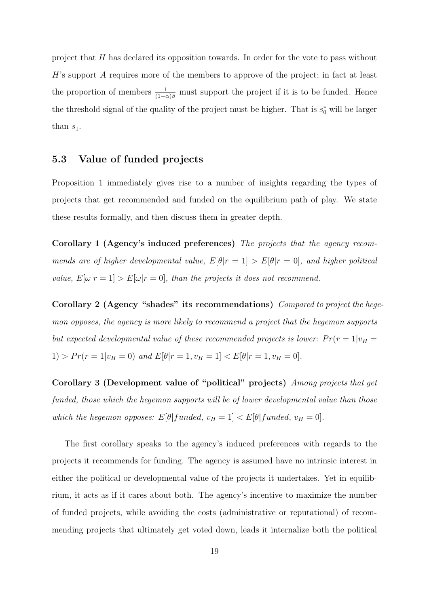project that H has declared its opposition towards. In order for the vote to pass without H's support A requires more of the members to approve of the project; in fact at least the proportion of members  $\frac{1}{(1-\alpha)\beta}$  must support the project if it is to be funded. Hence the threshold signal of the quality of the project must be higher. That is  $s_0^*$  will be larger than  $s_1$ .

### 5.3 Value of funded projects

Proposition [1](#page-15-1) immediately gives rise to a number of insights regarding the types of projects that get recommended and funded on the equilibrium path of play. We state these results formally, and then discuss them in greater depth.

<span id="page-18-0"></span>Corollary 1 (Agency's induced preferences) The projects that the agency recommends are of higher developmental value,  $E[\theta|r=1] > E[\theta|r=0]$ , and higher political value,  $E[\omega | r = 1] > E[\omega | r = 0]$ , than the projects it does not recommend.

<span id="page-18-1"></span>Corollary 2 (Agency "shades" its recommendations) Compared to project the hegemon opposes, the agency is more likely to recommend a project that the hegemon supports but expected developmental value of these recommended projects is lower:  $Pr(r = 1|v_H =$ 1) >  $Pr(r = 1|v_H = 0)$  and  $E[\theta|r = 1, v_H = 1] < E[\theta|r = 1, v_H = 0]$ .

<span id="page-18-2"></span>Corollary 3 (Development value of "political" projects) Among projects that get funded, those which the hegemon supports will be of lower developmental value than those which the hegemon opposes:  $E[\theta | funded, v_H = 1] < E[\theta | funded, v_H = 0].$ 

The first corollary speaks to the agency's induced preferences with regards to the projects it recommends for funding. The agency is assumed have no intrinsic interest in either the political or developmental value of the projects it undertakes. Yet in equilibrium, it acts as if it cares about both. The agency's incentive to maximize the number of funded projects, while avoiding the costs (administrative or reputational) of recommending projects that ultimately get voted down, leads it internalize both the political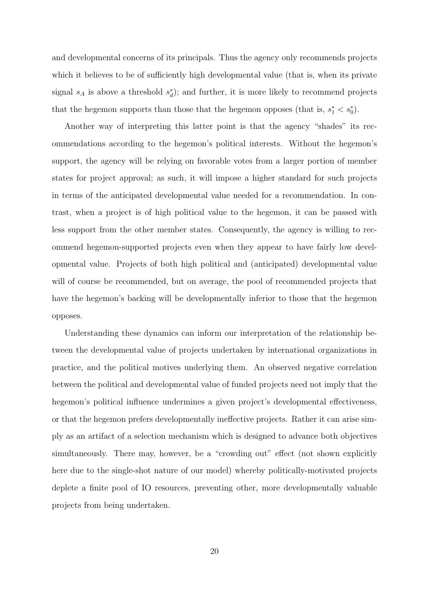and developmental concerns of its principals. Thus the agency only recommends projects which it believes to be of sufficiently high developmental value (that is, when its private signal  $s_A$  is above a threshold  $s_d^*$ ); and further, it is more likely to recommend projects that the hegemon supports than those that the hegemon opposes (that is,  $s_1^* < s_0^*$ ).

Another way of interpreting this latter point is that the agency "shades" its recommendations according to the hegemon's political interests. Without the hegemon's support, the agency will be relying on favorable votes from a larger portion of member states for project approval; as such, it will impose a higher standard for such projects in terms of the anticipated developmental value needed for a recommendation. In contrast, when a project is of high political value to the hegemon, it can be passed with less support from the other member states. Consequently, the agency is willing to recommend hegemon-supported projects even when they appear to have fairly low developmental value. Projects of both high political and (anticipated) developmental value will of course be recommended, but on average, the pool of recommended projects that have the hegemon's backing will be developmentally inferior to those that the hegemon opposes.

Understanding these dynamics can inform our interpretation of the relationship between the developmental value of projects undertaken by international organizations in practice, and the political motives underlying them. An observed negative correlation between the political and developmental value of funded projects need not imply that the hegemon's political influence undermines a given project's developmental effectiveness, or that the hegemon prefers developmentally ineffective projects. Rather it can arise simply as an artifact of a selection mechanism which is designed to advance both objectives simultaneously. There may, however, be a "crowding out" effect (not shown explicitly here due to the single-shot nature of our model) whereby politically-motivated projects deplete a finite pool of IO resources, preventing other, more developmentally valuable projects from being undertaken.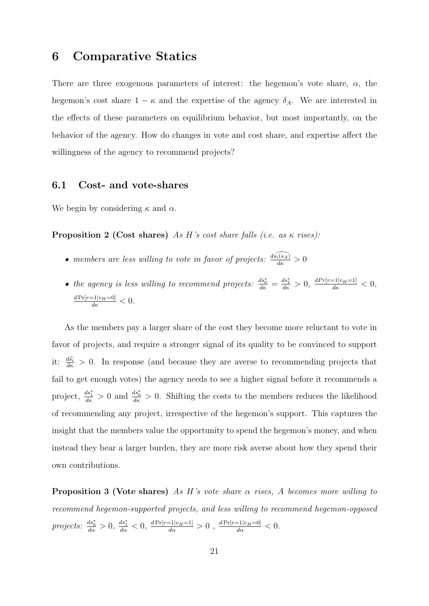### 6 Comparative Statics

There are three exogenous parameters of interest: the hegemon's vote share,  $\alpha$ , the hegemon's cost share  $1 - \kappa$  and the expertise of the agency  $\delta_A$ . We are interested in the effects of these parameters on equilibrium behavior, but most importantly, on the behavior of the agency. How do changes in vote and cost share, and expertise affect the willingness of the agency to recommend projects?

#### 6.1 Cost- and vote-shares

<span id="page-20-1"></span>We begin by considering  $\kappa$  and  $\alpha$ .

**Proposition 2 (Cost shares)** As H's cost share falls (i.e. as  $\kappa$  rises):

- members are less willing to vote in favor of projects:  $\frac{d\widehat{s_{i}(s_A)}}{d\kappa} > 0$
- the agency is less willing to recommend projects:  $\frac{ds_0^*}{d\kappa} = \frac{ds_1^*}{d\kappa} > 0$ ,  $\frac{dPr[r=1|v_H=1]}{d\kappa} < 0$ ,  $\frac{d \Pr[r=1|v_H=0]}{d\kappa} < 0.$

As the members pay a larger share of the cost they become more reluctant to vote in favor of projects, and require a stronger signal of its quality to be convinced to support it:  $\frac{d\hat{s}_i}{d\kappa} > 0$ . In response (and because they are averse to recommending projects that fail to get enough votes) the agency needs to see a higher signal before it recommends a project,  $\frac{ds_1^*}{ds} > 0$  and  $\frac{ds_0^*}{ds} > 0$ . Shifting the costs to the members reduces the likelihood of recommending any project, irrespective of the hegemon's support. This captures the insight that the members value the opportunity to spend the hegemon's money, and when instead they bear a larger burden, they are more risk averse about how they spend their own contributions.

<span id="page-20-0"></span>**Proposition 3 (Vote shares)** As H's vote share  $\alpha$  rises, A becomes more willing to recommend hegemon-supported projects, and less willing to recommend hegemon-opposed projects:  $\frac{ds_0^*}{d\alpha} > 0$ ,  $\frac{ds_1^*}{d\alpha} < 0$ ,  $\frac{dPr[r=1|v_H=1]}{d\alpha} > 0$ ,  $\frac{dPr[r=1|v_H=0]}{d\alpha} < 0$ .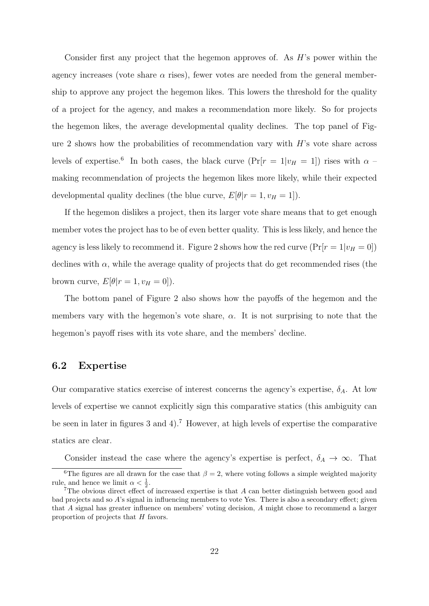Consider first any project that the hegemon approves of. As  $H$ 's power within the agency increases (vote share  $\alpha$  rises), fewer votes are needed from the general membership to approve any project the hegemon likes. This lowers the threshold for the quality of a project for the agency, and makes a recommendation more likely. So for projects the hegemon likes, the average developmental quality declines. The top panel of Fig-ure [2](#page-22-0) shows how the probabilities of recommendation vary with  $H$ 's vote share across levels of expertise.<sup>[6](#page-21-0)</sup> In both cases, the black curve  $(\Pr[r = 1|v_H = 1])$  rises with  $\alpha$ making recommendation of projects the hegemon likes more likely, while their expected developmental quality declines (the blue curve,  $E[\theta | r = 1, v_H = 1]$ ).

If the hegemon dislikes a project, then its larger vote share means that to get enough member votes the project has to be of even better quality. This is less likely, and hence the agency is less likely to recommend it. Figure [2](#page-22-0) shows how the red curve  $(\Pr[r=1|v_H=0])$ declines with  $\alpha$ , while the average quality of projects that do get recommended rises (the brown curve,  $E[\theta|r=1, v_H=0]$ ).

The bottom panel of Figure [2](#page-22-0) also shows how the payoffs of the hegemon and the members vary with the hegemon's vote share,  $\alpha$ . It is not surprising to note that the hegemon's payoff rises with its vote share, and the members' decline.

#### 6.2 Expertise

Our comparative statics exercise of interest concerns the agency's expertise,  $\delta_A$ . At low levels of expertise we cannot explicitly sign this comparative statics (this ambiguity can be seen in later in figures [3](#page-23-0) and [4\)](#page-24-0).[7](#page-21-1) However, at high levels of expertise the comparative statics are clear.

<span id="page-21-0"></span>Consider instead the case where the agency's expertise is perfect,  $\delta_A \to \infty$ . That

<sup>&</sup>lt;sup>6</sup>The figures are all drawn for the case that  $\beta = 2$ , where voting follows a simple weighted majority rule, and hence we limit  $\alpha < \frac{1}{2}$ .

<span id="page-21-1"></span><sup>7</sup>The obvious direct effect of increased expertise is that A can better distinguish between good and bad projects and so A's signal in influencing members to vote Yes. There is also a secondary effect; given that A signal has greater influence on members' voting decision, A might chose to recommend a larger proportion of projects that H favors.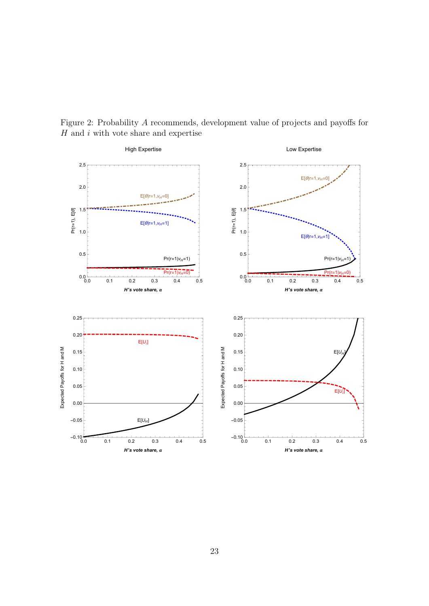

<span id="page-22-0"></span>Figure 2: Probability A recommends, development value of projects and payoffs for  ${\cal H}$  and  $i$  with vote share and expertise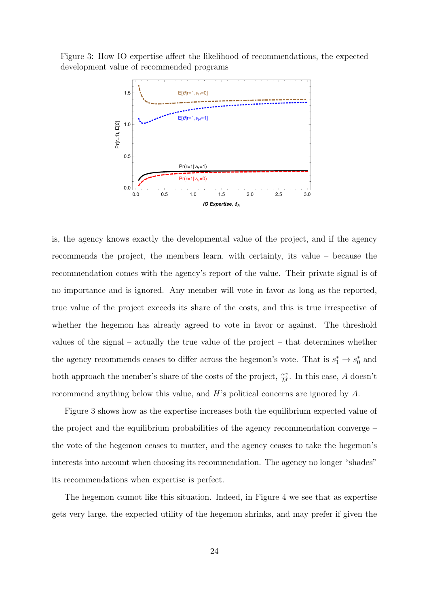<span id="page-23-0"></span>Figure 3: How IO expertise affect the likelihood of recommendations, the expected development value of recommended programs



is, the agency knows exactly the developmental value of the project, and if the agency recommends the project, the members learn, with certainty, its value – because the recommendation comes with the agency's report of the value. Their private signal is of no importance and is ignored. Any member will vote in favor as long as the reported, true value of the project exceeds its share of the costs, and this is true irrespective of whether the hegemon has already agreed to vote in favor or against. The threshold values of the signal – actually the true value of the project – that determines whether the agency recommends ceases to differ across the hegemon's vote. That is  $s_1^* \rightarrow s_0^*$  and both approach the member's share of the costs of the project,  $\frac{\kappa \gamma}{M}$ . In this case, A doesn't recommend anything below this value, and H's political concerns are ignored by A.

Figure [3](#page-23-0) shows how as the expertise increases both the equilibrium expected value of the project and the equilibrium probabilities of the agency recommendation converge – the vote of the hegemon ceases to matter, and the agency ceases to take the hegemon's interests into account when choosing its recommendation. The agency no longer "shades" its recommendations when expertise is perfect.

The hegemon cannot like this situation. Indeed, in Figure [4](#page-24-0) we see that as expertise gets very large, the expected utility of the hegemon shrinks, and may prefer if given the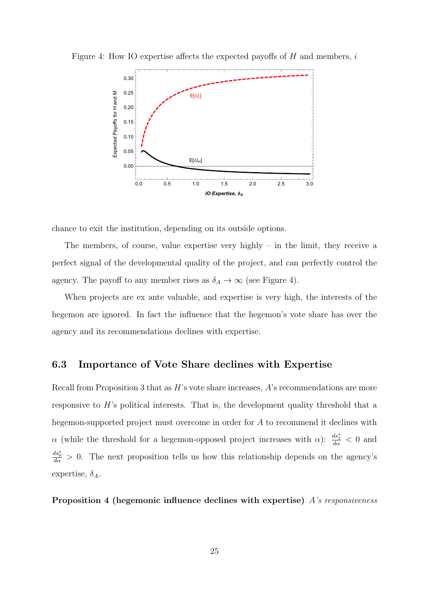

<span id="page-24-0"></span>Figure 4: How IO expertise affects the expected payoffs of  $H$  and members,  $i$ 

chance to exit the institution, depending on its outside options.

The members, of course, value expertise very highly – in the limit, they receive a perfect signal of the developmental quality of the project, and can perfectly control the agency. The payoff to any member rises as  $\delta_A \to \infty$  (see Figure [4\)](#page-24-0).

When projects are ex ante valuable, and expertise is very high, the interests of the hegemon are ignored. In fact the influence that the hegemon's vote share has over the agency and its recommendations declines with expertise.

#### 6.3 Importance of Vote Share declines with Expertise

Recall from Proposition [3](#page-20-0) that as  $H$ 's vote share increases,  $A$ 's recommendations are more responsive to  $H$ 's political interests. That is, the development quality threshold that a hegemon-supported project must overcome in order for A to recommend it declines with  $\alpha$  (while the threshold for a hegemon-opposed project increases with  $\alpha$ ):  $\frac{ds_1^*}{d\alpha} < 0$  and  $\frac{ds_0^*}{d\alpha} > 0$ . The next proposition tells us how this relationship depends on the agency's expertise,  $\delta_A$ .

<span id="page-24-1"></span>Proposition 4 (hegemonic influence declines with expertise) A's responsiveness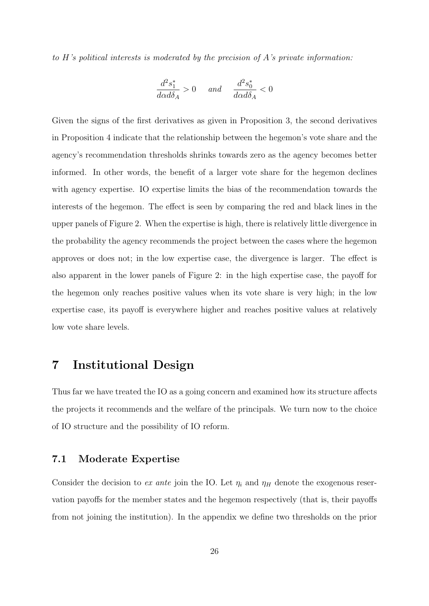to  $H$ 's political interests is moderated by the precision of  $A$ 's private information:

$$
\frac{d^2s_1^*}{d\alpha d\delta_A} > 0 \quad \text{and} \quad \frac{d^2s_0^*}{d\alpha d\delta_A} < 0
$$

Given the signs of the first derivatives as given in Proposition [3,](#page-20-0) the second derivatives in Proposition [4](#page-24-1) indicate that the relationship between the hegemon's vote share and the agency's recommendation thresholds shrinks towards zero as the agency becomes better informed. In other words, the benefit of a larger vote share for the hegemon declines with agency expertise. IO expertise limits the bias of the recommendation towards the interests of the hegemon. The effect is seen by comparing the red and black lines in the upper panels of Figure [2.](#page-22-0) When the expertise is high, there is relatively little divergence in the probability the agency recommends the project between the cases where the hegemon approves or does not; in the low expertise case, the divergence is larger. The effect is also apparent in the lower panels of Figure [2:](#page-22-0) in the high expertise case, the payoff for the hegemon only reaches positive values when its vote share is very high; in the low expertise case, its payoff is everywhere higher and reaches positive values at relatively low vote share levels.

# 7 Institutional Design

Thus far we have treated the IO as a going concern and examined how its structure affects the projects it recommends and the welfare of the principals. We turn now to the choice of IO structure and the possibility of IO reform.

#### 7.1 Moderate Expertise

Consider the decision to ex ante join the IO. Let  $\eta_i$  and  $\eta_H$  denote the exogenous reservation payoffs for the member states and the hegemon respectively (that is, their payoffs from not joining the institution). In the appendix we define two thresholds on the prior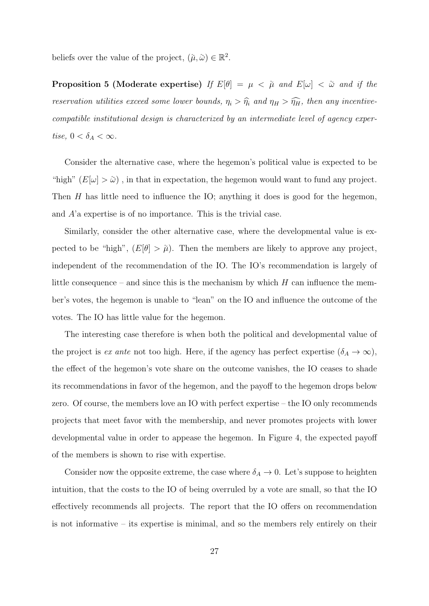<span id="page-26-0"></span>beliefs over the value of the project,  $(\tilde{\mu}, \tilde{\omega}) \in \mathbb{R}^2$ .

**Proposition 5 (Moderate expertise)** If  $E[\theta] = \mu < \tilde{\mu}$  and  $E[\omega] < \tilde{\omega}$  and if the reservation utilities exceed some lower bounds,  $\eta_i > \hat{\eta}_i$  and  $\eta_H > \hat{\eta}_H$ , then any incentivecompatible institutional design is characterized by an intermediate level of agency expertise,  $0 < \delta_A < \infty$ .

Consider the alternative case, where the hegemon's political value is expected to be "high"  $(E[\omega] > \tilde{\omega})$ , in that in expectation, the hegemon would want to fund any project. Then  $H$  has little need to influence the IO; anything it does is good for the hegemon, and A'a expertise is of no importance. This is the trivial case.

Similarly, consider the other alternative case, where the developmental value is expected to be "high",  $(E[\theta] > \tilde{\mu})$ . Then the members are likely to approve any project, independent of the recommendation of the IO. The IO's recommendation is largely of little consequence – and since this is the mechanism by which  $H$  can influence the member's votes, the hegemon is unable to "lean" on the IO and influence the outcome of the votes. The IO has little value for the hegemon.

The interesting case therefore is when both the political and developmental value of the project is ex ante not too high. Here, if the agency has perfect expertise  $(\delta_A \to \infty)$ , the effect of the hegemon's vote share on the outcome vanishes, the IO ceases to shade its recommendations in favor of the hegemon, and the payoff to the hegemon drops below zero. Of course, the members love an IO with perfect expertise – the IO only recommends projects that meet favor with the membership, and never promotes projects with lower developmental value in order to appease the hegemon. In Figure [4,](#page-24-0) the expected payoff of the members is shown to rise with expertise.

Consider now the opposite extreme, the case where  $\delta_A \to 0$ . Let's suppose to heighten intuition, that the costs to the IO of being overruled by a vote are small, so that the IO effectively recommends all projects. The report that the IO offers on recommendation is not informative – its expertise is minimal, and so the members rely entirely on their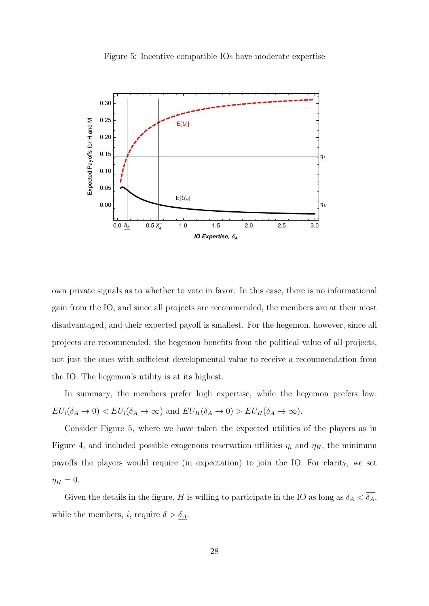<span id="page-27-0"></span>

Figure 5: Incentive compatible IOs have moderate expertise

own private signals as to whether to vote in favor. In this case, there is no informational gain from the IO, and since all projects are recommended, the members are at their most disadvantaged, and their expected payoff is smallest. For the hegemon, however, since all projects are recommended, the hegemon benefits from the political value of all projects, not just the ones with sufficient developmental value to receive a recommendation from the IO. The hegemon's utility is at its highest.

In summary, the members prefer high expertise, while the hegemon prefers low:  $EU_i(\delta_A \to 0) < EU_i(\delta_A \to \infty)$  and  $EU_H(\delta_A \to 0) > EU_H(\delta_A \to \infty)$ .

Consider Figure [5,](#page-27-0) where we have taken the expected utilities of the players as in Figure [4,](#page-24-0) and included possible exogenous reservation utilities  $\eta_i$  and  $\eta_H$ , the minimum payoffs the players would require (in expectation) to join the IO. For clarity, we set  $\eta_H = 0.$ 

Given the details in the figure, H is willing to participate in the IO as long as  $\delta_A < \overline{\delta_A}$ , while the members, *i*, require  $\delta > \underline{\delta_A}$ .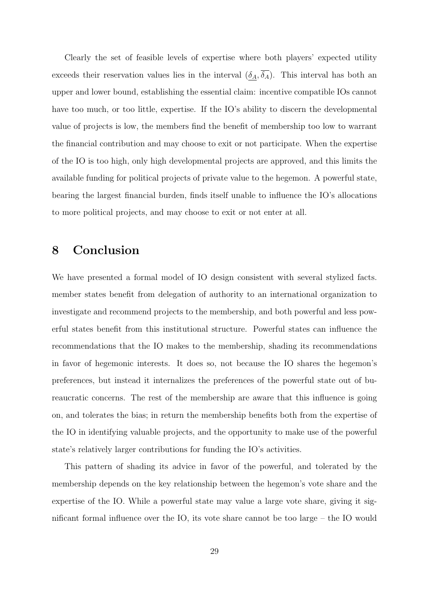Clearly the set of feasible levels of expertise where both players' expected utility exceeds their reservation values lies in the interval  $(\underline{\delta}_A, \overline{\delta}_A)$ . This interval has both an upper and lower bound, establishing the essential claim: incentive compatible IOs cannot have too much, or too little, expertise. If the IO's ability to discern the developmental value of projects is low, the members find the benefit of membership too low to warrant the financial contribution and may choose to exit or not participate. When the expertise of the IO is too high, only high developmental projects are approved, and this limits the available funding for political projects of private value to the hegemon. A powerful state, bearing the largest financial burden, finds itself unable to influence the IO's allocations to more political projects, and may choose to exit or not enter at all.

# 8 Conclusion

We have presented a formal model of IO design consistent with several stylized facts. member states benefit from delegation of authority to an international organization to investigate and recommend projects to the membership, and both powerful and less powerful states benefit from this institutional structure. Powerful states can influence the recommendations that the IO makes to the membership, shading its recommendations in favor of hegemonic interests. It does so, not because the IO shares the hegemon's preferences, but instead it internalizes the preferences of the powerful state out of bureaucratic concerns. The rest of the membership are aware that this influence is going on, and tolerates the bias; in return the membership benefits both from the expertise of the IO in identifying valuable projects, and the opportunity to make use of the powerful state's relatively larger contributions for funding the IO's activities.

This pattern of shading its advice in favor of the powerful, and tolerated by the membership depends on the key relationship between the hegemon's vote share and the expertise of the IO. While a powerful state may value a large vote share, giving it significant formal influence over the IO, its vote share cannot be too large – the IO would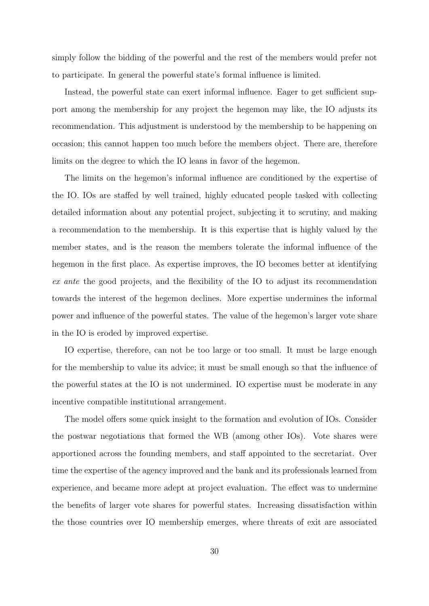simply follow the bidding of the powerful and the rest of the members would prefer not to participate. In general the powerful state's formal influence is limited.

Instead, the powerful state can exert informal influence. Eager to get sufficient support among the membership for any project the hegemon may like, the IO adjusts its recommendation. This adjustment is understood by the membership to be happening on occasion; this cannot happen too much before the members object. There are, therefore limits on the degree to which the IO leans in favor of the hegemon.

The limits on the hegemon's informal influence are conditioned by the expertise of the IO. IOs are staffed by well trained, highly educated people tasked with collecting detailed information about any potential project, subjecting it to scrutiny, and making a recommendation to the membership. It is this expertise that is highly valued by the member states, and is the reason the members tolerate the informal influence of the hegemon in the first place. As expertise improves, the IO becomes better at identifying ex ante the good projects, and the flexibility of the IO to adjust its recommendation towards the interest of the hegemon declines. More expertise undermines the informal power and influence of the powerful states. The value of the hegemon's larger vote share in the IO is eroded by improved expertise.

IO expertise, therefore, can not be too large or too small. It must be large enough for the membership to value its advice; it must be small enough so that the influence of the powerful states at the IO is not undermined. IO expertise must be moderate in any incentive compatible institutional arrangement.

The model offers some quick insight to the formation and evolution of IOs. Consider the postwar negotiations that formed the WB (among other IOs). Vote shares were apportioned across the founding members, and staff appointed to the secretariat. Over time the expertise of the agency improved and the bank and its professionals learned from experience, and became more adept at project evaluation. The effect was to undermine the benefits of larger vote shares for powerful states. Increasing dissatisfaction within the those countries over IO membership emerges, where threats of exit are associated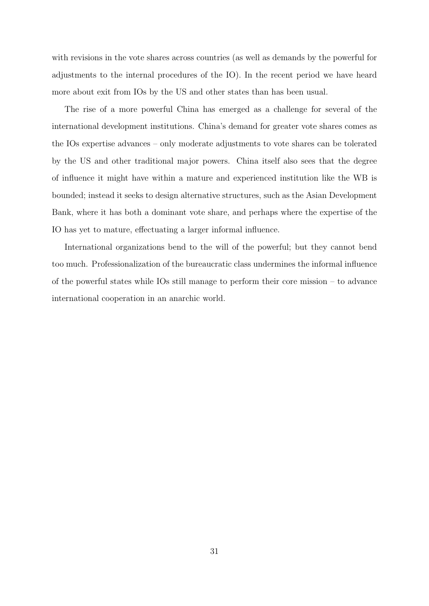with revisions in the vote shares across countries (as well as demands by the powerful for adjustments to the internal procedures of the IO). In the recent period we have heard more about exit from IOs by the US and other states than has been usual.

The rise of a more powerful China has emerged as a challenge for several of the international development institutions. China's demand for greater vote shares comes as the IOs expertise advances – only moderate adjustments to vote shares can be tolerated by the US and other traditional major powers. China itself also sees that the degree of influence it might have within a mature and experienced institution like the WB is bounded; instead it seeks to design alternative structures, such as the Asian Development Bank, where it has both a dominant vote share, and perhaps where the expertise of the IO has yet to mature, effectuating a larger informal influence.

International organizations bend to the will of the powerful; but they cannot bend too much. Professionalization of the bureaucratic class undermines the informal influence of the powerful states while IOs still manage to perform their core mission – to advance international cooperation in an anarchic world.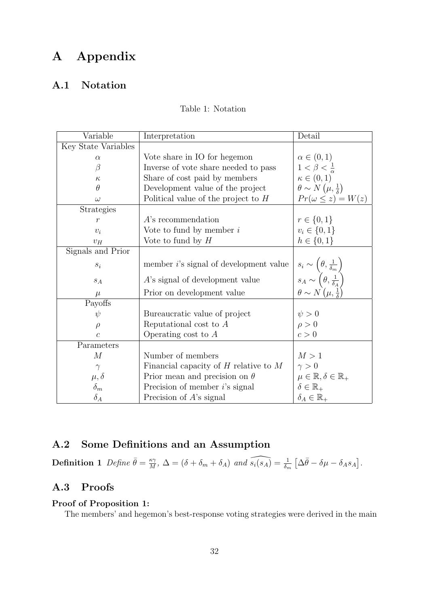# A Appendix

### <span id="page-31-0"></span>A.1 Notation

| Table 1: Notation |
|-------------------|
|                   |

| Variable            | Interpretation                                 | Detail                                                                                                                                                                              |
|---------------------|------------------------------------------------|-------------------------------------------------------------------------------------------------------------------------------------------------------------------------------------|
| Key State Variables |                                                |                                                                                                                                                                                     |
| $\alpha$            | Vote share in IO for hegemon                   | $\alpha \in (0,1)$                                                                                                                                                                  |
| $\beta$             | Inverse of vote share needed to pass           | $1 < \beta < \frac{1}{\alpha}$                                                                                                                                                      |
| $\kappa$            | Share of cost paid by members                  | $\kappa \in (0,1)$                                                                                                                                                                  |
| $\theta$            | Development value of the project               | $\theta \sim N(\mu, \frac{1}{\delta})$                                                                                                                                              |
| $\omega$            | Political value of the project to $H$          | $Pr(\omega \leq z) = W(z)$                                                                                                                                                          |
| Strategies          |                                                |                                                                                                                                                                                     |
| $\mathcal{r}$       | $A$ 's recommendation                          | $r \in \{0, 1\}$                                                                                                                                                                    |
| $v_i$               | Vote to fund by member $i$                     | $v_i \in \{0, 1\}$                                                                                                                                                                  |
| $v_H$               | Vote to fund by $H$                            | $h \in \{0, 1\}$                                                                                                                                                                    |
| Signals and Prior   |                                                |                                                                                                                                                                                     |
| $s_i$               | member <i>i</i> 's signal of development value | $\begin{array}{c} s_i \sim \left(\theta,\frac{1}{\delta_m}\right) \\ s_A \sim \left(\theta,\frac{1}{\delta_A}\right) \\ \theta \sim N\left(\mu,\frac{1}{\delta}\right) \end{array}$ |
| $s_A$               | A's signal of development value                |                                                                                                                                                                                     |
| $\mu$               | Prior on development value                     |                                                                                                                                                                                     |
| Payoffs             |                                                |                                                                                                                                                                                     |
| $\psi$              | Bureaucratic value of project                  | $\psi > 0$                                                                                                                                                                          |
| $\rho$              | Reputational cost to $A$                       | $\rho > 0$                                                                                                                                                                          |
| $\overline{c}$      | Operating cost to $A$                          | c > 0                                                                                                                                                                               |
| Parameters          |                                                |                                                                                                                                                                                     |
| M                   | Number of members                              | M>1                                                                                                                                                                                 |
| $\gamma$            | Financial capacity of $H$ relative to $M$      | $\gamma > 0$                                                                                                                                                                        |
| $\mu, \delta$       | Prior mean and precision on $\theta$           | $\mu \in \mathbb{R}, \delta \in \mathbb{R}_+$                                                                                                                                       |
| $\delta_m$          | Precision of member $i$ 's signal              | $\delta \in \mathbb{R}_+$                                                                                                                                                           |
| $\delta_A$          | Precision of $A$ 's signal                     | $\delta_A \in \mathbb{R}_+$                                                                                                                                                         |

# A.2 Some Definitions and an Assumption

**Definition 1** Define  $\bar{\theta} = \frac{\kappa \gamma}{M}$  $\overline{\Lambda}^{\kappa\gamma}$ ,  $\Delta = (\delta + \delta_m + \delta_A)$  and  $\widehat{s_i(s_A)} = \frac{1}{\delta_m} \left[ \Delta \bar{\theta} - \delta \mu - \delta_A s_A \right]$ .

#### A.3 Proofs

#### Proof of Proposition [1:](#page-15-1)

The members' and hegemon's best-response voting strategies were derived in the main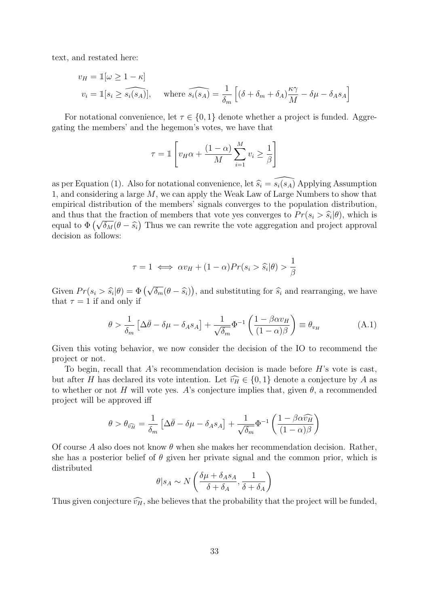text, and restated here:

$$
v_H = \mathbb{1}[\omega \ge 1 - \kappa]
$$
  

$$
v_i = \mathbb{1}[s_i \ge \widehat{s_i(s_A)}], \quad \text{where } \widehat{s_i(s_A)} = \frac{1}{\delta_m} \left[ (\delta + \delta_m + \delta_A) \frac{\kappa \gamma}{M} - \delta \mu - \delta_A s_A \right]
$$

For notational convenience, let  $\tau \in \{0,1\}$  denote whether a project is funded. Aggregating the members' and the hegemon's votes, we have that

$$
\tau = \mathbb{1}\left[v_H \alpha + \frac{(1-\alpha)}{M} \sum_{i=1}^M v_i \ge \frac{1}{\beta}\right]
$$

as per Equation [\(1\)](#page-11-2). Also for notational convenience, let  $\widehat{s_i} = \widehat{s_i(s_A)}$  Applying Assumption [1,](#page-13-0) and considering a large M, we can apply the Weak Law of Large Numbers to show that empirical distribution of the members' signals converges to the population distribution, and thus that the fraction of members that vote yes converges to  $Pr(s_i > \hat{s}_i | \theta)$ , which is and thus that<br>equal to  $\Phi\left(\sqrt{\right.}$  $\overline{\delta_M}(\theta - \hat{s}_i)$  Thus we can rewrite the vote aggregation and project approval<br>lows: decision as follows:

<span id="page-32-0"></span>
$$
\tau = 1 \iff \alpha v_H + (1 - \alpha) Pr(s_i > \hat{s}_i | \theta) > \frac{1}{\beta}
$$

Given  $Pr(s_i > \hat{s_i})$  $|\theta) = \Phi(\sqrt{\frac{\pi}{2}})$  $\overline{\delta_m}(\theta - \widehat{s}_i)$ , and substituting for  $\widehat{s}_i$  and rearranging, we have that  $\tau = 1$  if and only if

$$
\theta > \frac{1}{\delta_m} \left[ \Delta \bar{\theta} - \delta \mu - \delta_A s_A \right] + \frac{1}{\sqrt{\delta_m}} \Phi^{-1} \left( \frac{1 - \beta \alpha v_H}{(1 - \alpha)\beta} \right) \equiv \theta_{v_H}
$$
(A.1)

Given this voting behavior, we now consider the decision of the IO to recommend the project or not.

To begin, recall that  $A$ 's recommendation decision is made before  $H$ 's vote is cast, but after H has declared its vote intention. Let  $\widehat{v_H} \in \{0, 1\}$  denote a conjecture by A as to whether or not H will vote yes. A's conjecture implies that, given  $\theta$ , a recommended project will be approved iff

$$
\theta > \theta_{\widehat{v_H}} = \frac{1}{\delta_m} \left[ \Delta \bar{\theta} - \delta \mu - \delta_A s_A \right] + \frac{1}{\sqrt{\delta_m}} \Phi^{-1} \left( \frac{1 - \beta \alpha \widehat{v_H}}{(1 - \alpha)\beta} \right)
$$

Of course A also does not know  $\theta$  when she makes her recommendation decision. Rather, she has a posterior belief of  $\theta$  given her private signal and the common prior, which is distributed

$$
\theta|s_A \sim N\left(\frac{\delta\mu + \delta_A s_A}{\delta + \delta_A}, \frac{1}{\delta + \delta_A}\right)
$$

Thus given conjecture  $\widehat{v_H}$ , she believes that the probability that the project will be funded,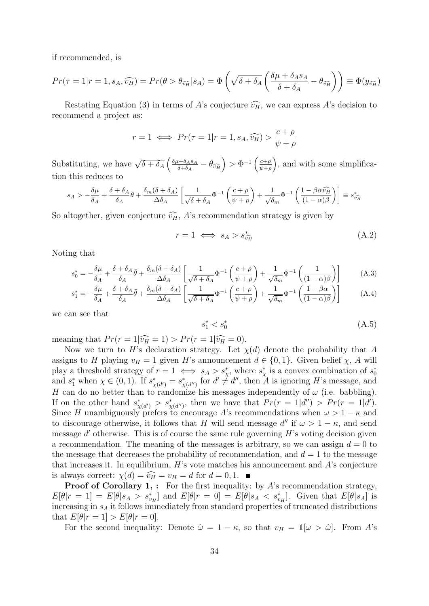if recommended, is

$$
Pr(\tau = 1 | r = 1, s_A, \widehat{v_H}) = Pr(\theta > \theta_{\widehat{v_H}} | s_A) = \Phi\left(\sqrt{\delta + \delta_A} \left(\frac{\delta \mu + \delta_A s_A}{\delta + \delta_A} - \theta_{\widehat{v_H}}\right)\right) \equiv \Phi(y_{\widehat{v_H}})
$$

Restating Equation [\(3\)](#page-17-2) in terms of A's conjecture  $\widehat{v}_H$ , we can express A's decision to recommend a project as:

$$
r = 1 \iff Pr(\tau = 1 | r = 1, s_A, \widehat{v_H}) > \frac{c + \rho}{\psi + \rho}
$$

Substituting, we have  $\sqrt{\delta + \delta_A} \left( \frac{\delta \mu + \delta_A s_A}{\delta + \delta_A} \right)$  $\left(\frac{a+\delta_A s_A}{\delta+\delta_A}-\theta_{\widehat{v_H}}\right)>\Phi^{-1}\left(\frac{c+\rho}{\psi+\rho}\right)$  $\left(\frac{c+\rho}{\psi+\rho}\right)$ , and with some simplification this reduces to

$$
s_A > -\frac{\delta\mu}{\delta_A} + \frac{\delta + \delta_A}{\delta_A}\bar{\theta} + \frac{\delta_m(\delta + \delta_A)}{\Delta\delta_A} \left[ \frac{1}{\sqrt{\delta + \delta_A}}\Phi^{-1}\left(\frac{c + \rho}{\psi + \rho}\right) + \frac{1}{\sqrt{\delta_m}}\Phi^{-1}\left(\frac{1 - \beta\alpha\widehat{v_H}}{(1 - \alpha)\beta}\right) \right] \equiv s_{\widehat{v_H}}^*
$$

So altogether, given conjecture  $\widehat{v_H}$ , A's recommendation strategy is given by

$$
r = 1 \iff s_A > s_{\widehat{v_H}}^* \tag{A.2}
$$

Noting that

$$
s_0^* = -\frac{\delta\mu}{\delta_A} + \frac{\delta + \delta_A}{\delta_A}\bar{\theta} + \frac{\delta_m(\delta + \delta_A)}{\Delta\delta_A} \left[ \frac{1}{\sqrt{\delta + \delta_A}} \Phi^{-1} \left( \frac{c + \rho}{\psi + \rho} \right) + \frac{1}{\sqrt{\delta_m}} \Phi^{-1} \left( \frac{1}{(1 - \alpha)\beta} \right) \right]
$$
(A.3)

$$
s_1^* = -\frac{\delta\mu}{\delta_A} + \frac{\delta + \delta_A}{\delta_A}\bar{\theta} + \frac{\delta_m(\delta + \delta_A)}{\Delta\delta_A} \left[ \frac{1}{\sqrt{\delta + \delta_A}}\Phi^{-1}\left(\frac{c+\rho}{\psi+\rho}\right) + \frac{1}{\sqrt{\delta_m}}\Phi^{-1}\left(\frac{1-\beta\alpha}{(1-\alpha)\beta}\right) \right]
$$
(A.4)

we can see that

<span id="page-33-1"></span><span id="page-33-0"></span>
$$
s_1^* < s_0^* \tag{A.5}
$$

meaning that  $Pr(r = 1|\widehat{v_H} = 1) > Pr(r = 1|\widehat{v_H} = 0).$ 

Now we turn to H's declaration strategy. Let  $\chi(d)$  denote the probability that A assigns to H playing  $v_H = 1$  given H's announcement  $d \in \{0, 1\}$ . Given belief  $\chi$ , A will play a threshold strategy of  $r = 1 \iff s_A > s^*_\chi$ , where  $s^*_\chi$  is a convex combination of  $s^*_0$ and  $s_1^*$  when  $\chi \in (0,1)$ . If  $s_{\chi(d')}^* = s_{\chi(d'')}^*$  for  $d' \neq d''$ , then A is ignoring H's message, and H can do no better than to randomize his messages independently of  $\omega$  (i.e. babbling). If on the other hand  $s^*_{\chi(d')} > s^*_{\chi(d'')}$ , then we have that  $Pr(r = 1|d'') > Pr(r = 1|d').$ Since H unambiguously prefers to encourage A's recommendations when  $\omega > 1 - \kappa$  and to discourage otherwise, it follows that H will send message  $d''$  if  $\omega > 1 - \kappa$ , and send message  $d'$  otherwise. This is of course the same rule governing  $H$ 's voting decision given a recommendation. The meaning of the messages is arbitrary, so we can assign  $d = 0$  to the message that decreases the probability of recommendation, and  $d = 1$  to the message that increases it. In equilibrium,  $H$ 's vote matches his announcement and  $A$ 's conjecture is always correct:  $\chi(d) = \widehat{v_H} = v_H = d$  for  $d = 0, 1$ .

**Proof of Corollary [1,](#page-18-0) :** For the first inequality: by  $A$ 's recommendation strategy,  $E[\theta|r=1] = E[\theta|s_A > s_{v_H}^*]$  and  $E[\theta|r=0] = E[\theta|s_A < s_{v_H}^*]$ . Given that  $E[\theta|s_A]$  is increasing in  $s_A$  it follows immediately from standard properties of truncated distributions that  $E[\theta|r=1] > E[\theta|r=0].$ 

For the second inequality: Denote  $\hat{\omega} = 1 - \kappa$ , so that  $v_H = \mathbb{1}[\omega > \hat{\omega}]$ . From A's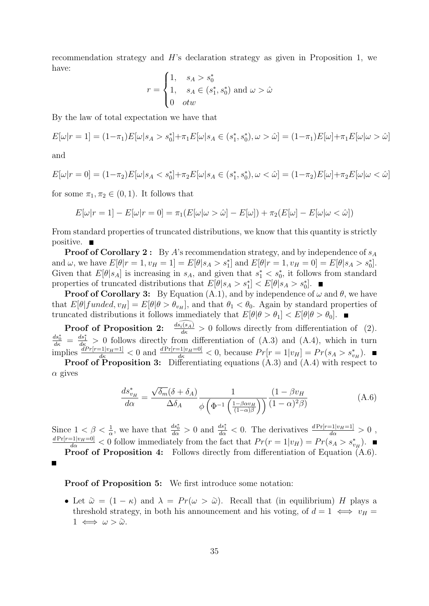recommendation strategy and  $H$ 's declaration strategy as given in Proposition [1,](#page-15-1) we have:

$$
r = \begin{cases} 1, & s_A > s_0^* \\ 1, & s_A \in (s_1^*, s_0^*) \text{ and } \omega > \hat{\omega} \\ 0 & \text{otw} \end{cases}
$$

By the law of total expectation we have that

$$
E[\omega|r=1] = (1-\pi_1)E[\omega|s_A > s_0^*] + \pi_1 E[\omega|s_A \in (s_1^*, s_0^*), \omega > \hat{\omega}] = (1-\pi_1)E[\omega] + \pi_1 E[\omega|\omega > \hat{\omega}]
$$

and

$$
E[\omega|r=0] = (1-\pi_2)E[\omega|s_A < s_0^*] + \pi_2 E[\omega|s_A \in (s_1^*, s_0^*), \omega < \hat{\omega}] = (1-\pi_2)E[\omega] + \pi_2 E[\omega|\omega < \hat{\omega}]
$$

for some  $\pi_1, \pi_2 \in (0, 1)$ . It follows that

$$
E[\omega|r=1]-E[\omega|r=0]=\pi_1(E[\omega|\omega>\hat{\omega}]-E[\omega])+\pi_2(E[\omega]-E[\omega|\omega<\hat{\omega}])
$$

From standard properties of truncated distributions, we know that this quantity is strictly positive.  $\blacksquare$ 

**Proof of Corollary [2](#page-18-1):** By A's recommendation strategy, and by independence of  $s_A$ and  $\omega$ , we have  $E[\theta | r = 1, v_H = 1] = E[\theta | s_A > s_1^*]$  and  $E[\theta | r = 1, v_H = 0] = E[\theta | s_A > s_0^*]$ . Given that  $E[\theta|S_A]$  is increasing in  $S_A$ , and given that  $s_1^* < s_0^*$ , it follows from standard properties of truncated distributions that  $E[\theta|s_A > s_1^*] < E[\theta|s_A > s_0^*]$ .

**Proof of Corollary [3:](#page-18-2)** By Equation [\(A.1\)](#page-32-0), and by independence of  $\omega$  and  $\theta$ , we have that  $E[\theta] \text{funded}, v_H] = E[\theta | \theta > \theta_{v_H}]$ , and that  $\theta_1 < \theta_0$ . Again by standard properties of truncated distributions it follows immediately that  $E[\theta|\theta > \theta_1] < E[\theta|\theta > \theta_0]$ .

**Proof of Proposition [2:](#page-20-1)**  $\frac{d\widehat{s}_{i}(s_A)}{d\kappa} > 0$  follows directly from differentiation of [\(2\)](#page-16-0).  $\frac{ds_0^*}{ds} = \frac{ds_1^*}{ds} > 0$  follows directly from differentiation of [\(A.3\)](#page-33-0) and [\(A.4\)](#page-33-1), which in turn implies  $\frac{dPr[r=1|v_H=1]}{dk} < 0$  and  $\frac{dPr[r=1|v_H=0]}{dk} < 0$ , because  $Pr[r=1|v_H] = Pr(s_A > s_{v_H}^*)$ .

**Proof of Proposition [3:](#page-20-0)** Differentiating equations  $(A.3)$  and  $(A.4)$  with respect to  $\alpha$  gives

<span id="page-34-0"></span>
$$
\frac{ds_{v_H}^*}{d\alpha} = \frac{\sqrt{\delta_m}(\delta + \delta_A)}{\Delta \delta_A} \frac{1}{\phi \left(\Phi^{-1} \left(\frac{1 - \beta \alpha v_H}{(1 - \alpha)\beta}\right)\right)} \frac{(1 - \beta v_H}{(1 - \alpha)^2 \beta)}
$$
(A.6)

Since  $1 < \beta < \frac{1}{\alpha}$ , we have that  $\frac{ds_0^*}{d\alpha} > 0$  and  $\frac{ds_1^*}{d\alpha} < 0$ . The derivatives  $\frac{dPr[r=1|v_H=1]}{d\alpha} > 0$ ,  $\frac{dPr[r=1|v_H=0]}{d\alpha} < 0$  follow immediately from the fact that  $Pr(r=1|v_H) = Pr(s_A > s_{v_H}^*)$ .

Proof of Proposition [4:](#page-24-1) Follows directly from differentiation of Equation [\(A.6\)](#page-34-0).

#### Proof of Proposition [5:](#page-26-0) We first introduce some notation:

• Let  $\tilde{\omega} = (1 - \kappa)$  and  $\lambda = Pr(\omega > \tilde{\omega})$ . Recall that (in equilibrium) H plays a threshold strategy, in both his announcement and his voting, of  $d = 1 \iff v_H =$  $1 \iff \omega > \tilde{\omega}.$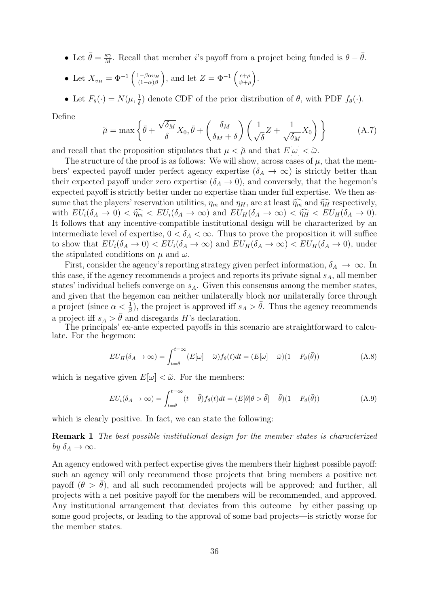• Let  $\bar{\theta} = \frac{\kappa \gamma}{M}$  $\frac{\kappa \gamma}{M}$ . Recall that member *i*'s payoff from a project being funded is  $\theta - \bar{\theta}$ .

• Let 
$$
X_{v_H} = \Phi^{-1}\left(\frac{1-\beta\alpha v_H}{(1-\alpha)\beta}\right)
$$
, and let  $Z = \Phi^{-1}\left(\frac{c+\rho}{\psi+\rho}\right)$ .

• Let  $F_{\theta}(\cdot) = N(\mu, \frac{1}{\delta})$  denote CDF of the prior distribution of  $\theta$ , with PDF  $f_{\theta}(\cdot)$ .

Define

<span id="page-35-1"></span>
$$
\tilde{\mu} = \max \left\{ \bar{\theta} + \frac{\sqrt{\delta_M}}{\delta} X_0, \bar{\theta} + \left( \frac{\delta_M}{\delta_M + \delta} \right) \left( \frac{1}{\sqrt{\delta}} Z + \frac{1}{\sqrt{\delta_M}} X_0 \right) \right\}
$$
(A.7)

and recall that the proposition stipulates that  $\mu < \tilde{\mu}$  and that  $E[\omega] < \tilde{\omega}$ .

The structure of the proof is as follows: We will show, across cases of  $\mu$ , that the members' expected payoff under perfect agency expertise ( $\delta_A \rightarrow \infty$ ) is strictly better than their expected payoff under zero expertise  $(\delta_A \rightarrow 0)$ , and conversely, that the hegemon's expected payoff is strictly better under no expertise than under full expertise. We then assume that the players' reservation utilities,  $\eta_m$  and  $\eta_H$ , are at least  $\widehat{\eta_m}$  and  $\widehat{\eta_H}$  respectively, with  $EU_i(\delta_A \to 0) < \widehat{\eta_m} < EU_i(\delta_A \to \infty)$  and  $EU_H(\delta_A \to \infty) < \widehat{\eta_H} < EU_H(\delta_A \to 0)$ . It follows that any incentive-compatible institutional design will be characterized by an intermediate level of expertise,  $0 < \delta_A < \infty$ . Thus to prove the proposition it will suffice to show that  $EU_i(\delta_A \to 0) < EU_i(\delta_A \to \infty)$  and  $EU_H(\delta_A \to \infty) < EU_H(\delta_A \to 0)$ , under the stipulated conditions on  $\mu$  and  $\omega$ .

First, consider the agency's reporting strategy given perfect information,  $\delta_A \to \infty$ . In this case, if the agency recommends a project and reports its private signal  $s_A$ , all member states' individual beliefs converge on  $s_A$ . Given this consensus among the member states, and given that the hegemon can neither unilaterally block nor unilaterally force through a project (since  $\alpha < \frac{1}{\beta}$ ), the project is approved iff  $s_A > \bar{\theta}$ . Thus the agency recommends a project iff  $s_A > \bar{\theta}$  and disregards H's declaration.

The principals' ex-ante expected payoffs in this scenario are straightforward to calculate. For the hegemon:

<span id="page-35-2"></span>
$$
EU_H(\delta_A \to \infty) = \int_{t=\bar{\theta}}^{t=\infty} (E[\omega] - \tilde{\omega}) f_{\theta}(t) dt = (E[\omega] - \tilde{\omega}) (1 - F_{\theta}(\bar{\theta}))
$$
(A.8)

which is negative given  $E[\omega] < \tilde{\omega}$ . For the members:

<span id="page-35-0"></span>
$$
EU_i(\delta_A \to \infty) = \int_{t=\bar{\theta}}^{t=\infty} (t-\bar{\theta}) f_{\theta}(t) dt = (E[\theta | \theta > \bar{\theta}] - \bar{\theta}) (1 - F_{\theta}(\bar{\theta}))
$$
(A.9)

which is clearly positive. In fact, we can state the following:

Remark 1 The best possible institutional design for the member states is characterized by  $\delta_A \to \infty$ .

An agency endowed with perfect expertise gives the members their highest possible payoff: such an agency will only recommend those projects that bring members a positive net payoff  $(\theta > \overline{\theta})$ , and all such recommended projects will be approved; and further, all projects with a net positive payoff for the members will be recommended, and approved. Any institutional arrangement that deviates from this outcome—by either passing up some good projects, or leading to the approval of some bad projects—is strictly worse for the member states.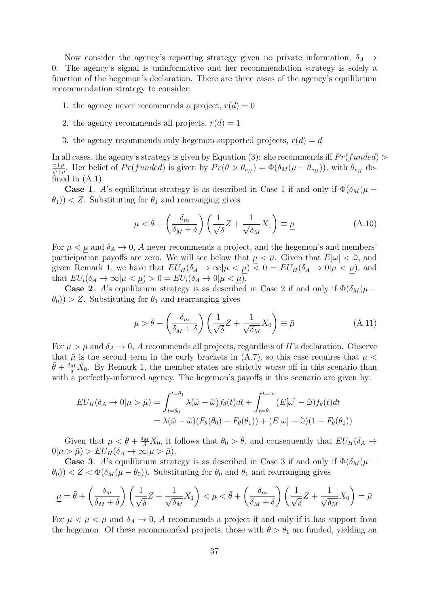Now consider the agency's reporting strategy given no private information,  $\delta_A \rightarrow$ 0. The agency's signal is uninformative and her recommendation strategy is solely a function of the hegemon's declaration. There are three cases of the agency's equilibrium recommendation strategy to consider:

- 1. the agency never recommends a project,  $r(d) = 0$
- 2. the agency recommends all projects,  $r(d) = 1$
- 3. the agency recommends only hegemon-supported projects,  $r(d) = d$

In all cases, the agency's strategy is given by Equation [\(3\)](#page-17-2): she recommends iff  $Pr(funed)$ c+ρ  $\frac{c+\rho}{\psi+\rho}$ . Her belief of  $Pr(funded)$  is given by  $Pr(\theta > \theta_{v_H}) = \Phi(\delta_M(\mu - \theta_{v_H}))$ , with  $\theta_{v_H}$  defined in  $(A.1)$ .

**Case 1.** A's equilibrium strategy is as described in Case 1 if and only if  $\Phi(\delta_M(\mu \theta_1$ )) < Z. Substituting for  $\theta_1$  and rearranging gives

$$
\mu < \bar{\theta} + \left(\frac{\delta_m}{\delta_M + \delta}\right) \left(\frac{1}{\sqrt{\delta}} Z + \frac{1}{\sqrt{\delta_M}} X_1\right) \equiv \underline{\mu} \tag{A.10}
$$

For  $\mu < \mu$  and  $\delta_A \rightarrow 0$ , A never recommends a project, and the hegemon's and members' participation payoffs are zero. We will see below that  $\mu < \bar{\mu}$ . Given that  $E[\omega] < \tilde{\omega}$ , and given Remark [1,](#page-35-0) we have that  $EU_H(\delta_A \to \infty | \mu \lt \mu) < 0 = EU_H(\delta_A \to 0 | \mu \lt \mu)$ , and that  $EU_i(\delta_A \to \infty | \mu \lt \mu) > 0 = EU_i(\delta_A \to 0 | \mu \lt \mu).$ 

**Case 2.** A's equilibrium strategy is as described in Case 2 if and only if  $\Phi(\delta_M(\mu (\theta_0)$ ) > Z. Substituting for  $\theta_1$  and rearranging gives

$$
\mu > \bar{\theta} + \left(\frac{\delta_m}{\delta_M + \delta}\right) \left(\frac{1}{\sqrt{\delta}} Z + \frac{1}{\sqrt{\delta_M}} X_0\right) \equiv \bar{\mu}
$$
\n(A.11)

For  $\mu > \bar{\mu}$  and  $\delta_A \to 0$ , A recommends all projects, regardless of H's declaration. Observe that  $\bar{\mu}$  is the second term in the curly brackets in [\(A.7\)](#page-35-1), so this case requires that  $\mu$  <  $\bar{\theta} + \frac{\delta_M}{\delta} X_0$ . By Remark [1,](#page-35-0) the member states are strictly worse off in this scenario than with a perfectly-informed agency. The hegemon's payoffs in this scenario are given by:

$$
EU_H(\delta_A \to 0 | \mu > \bar{\mu}) = \int_{t=\theta_0}^{t=\theta_1} \lambda(\bar{\omega} - \tilde{\omega}) f_{\theta}(t) dt + \int_{t=\theta_1}^{t=\infty} (E[\omega] - \tilde{\omega}) f_{\theta}(t) dt
$$
  
=  $\lambda(\bar{\omega} - \tilde{\omega}) (F_{\theta}(\theta_0) - F_{\theta}(\theta_1)) + (E[\omega] - \tilde{\omega}) (1 - F_{\theta}(\theta_0))$ 

Given that  $\mu < \bar{\theta} + \frac{\delta_M}{\delta} X_0$ , it follows that  $\theta_0 > \bar{\theta}$ , and consequently that  $EU_H(\delta_A \to \delta_B)$  $0|\mu > \bar{\mu}$ ) >  $EU_H(\delta_A \to \infty | \mu > \bar{\mu})$ .

**Case 3.** A's equilibrium strategy is as described in Case 3 if and only if  $\Phi(\delta_M(\mu \theta_0$ )) < Z <  $\Phi(\delta_M(\mu-\theta_0))$ . Substituting for  $\theta_0$  and  $\theta_1$  and rearranging gives

$$
\underline{\mu} = \overline{\theta} + \left(\frac{\delta_m}{\delta_M + \delta}\right) \left(\frac{1}{\sqrt{\delta}} Z + \frac{1}{\sqrt{\delta_M}} X_1\right) < \mu < \overline{\theta} + \left(\frac{\delta_m}{\delta_M + \delta}\right) \left(\frac{1}{\sqrt{\delta}} Z + \frac{1}{\sqrt{\delta_M}} X_0\right) = \overline{\mu}
$$

For  $\mu < \mu < \bar{\mu}$  and  $\delta_A \rightarrow 0$ , A recommends a project if and only if it has support from the hegemon. Of these recommended projects, those with  $\theta > \theta_1$  are funded, yielding an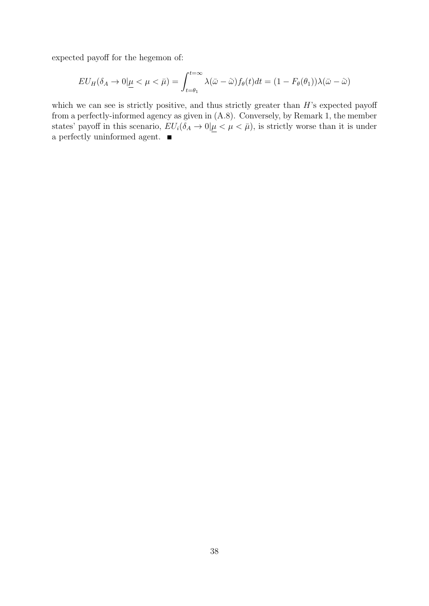expected payoff for the hegemon of:

$$
EU_H(\delta_A \to 0 | \underline{\mu} < \mu < \bar{\mu}) = \int_{t=\theta_1}^{t=\infty} \lambda(\bar{\omega} - \tilde{\omega}) f_{\theta}(t) dt = (1 - F_{\theta}(\theta_1)) \lambda(\bar{\omega} - \tilde{\omega})
$$

which we can see is strictly positive, and thus strictly greater than  $H$ 's expected payoff from a perfectly-informed agency as given in [\(A.8\)](#page-35-2). Conversely, by Remark [1,](#page-35-0) the member states' payoff in this scenario,  $EU_i(\delta_A \to 0 | \mu \lt \mu \lt \bar{\mu})$ , is strictly worse than it is under a perfectly uninformed agent.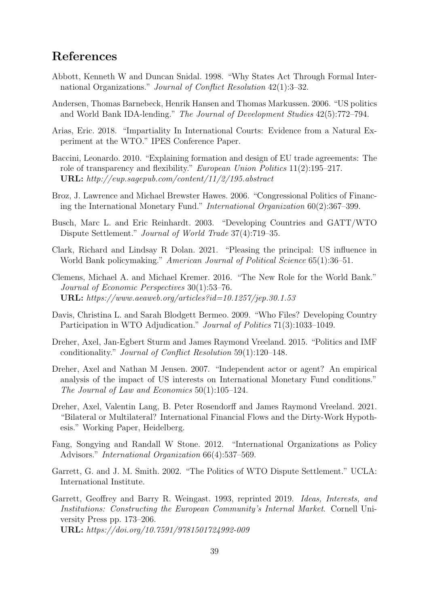# References

- <span id="page-38-11"></span>Abbott, Kenneth W and Duncan Snidal. 1998. "Why States Act Through Formal International Organizations." Journal of Conflict Resolution 42(1):3–32.
- <span id="page-38-0"></span>Andersen, Thomas Barnebeck, Henrik Hansen and Thomas Markussen. 2006. "US politics and World Bank IDA-lending." The Journal of Development Studies 42(5):772–794.
- <span id="page-38-8"></span>Arias, Eric. 2018. "Impartiality In International Courts: Evidence from a Natural Experiment at the WTO." IPES Conference Paper.
- <span id="page-38-12"></span>Baccini, Leonardo. 2010. "Explaining formation and design of EU trade agreements: The role of transparency and flexibility." *European Union Politics* 11(2):195–217. URL: http://eup.sagepub.com/content/11/2/195.abstract
- <span id="page-38-5"></span>Broz, J. Lawrence and Michael Brewster Hawes. 2006. "Congressional Politics of Financing the International Monetary Fund." International Organization 60(2):367–399.
- <span id="page-38-7"></span>Busch, Marc L. and Eric Reinhardt. 2003. "Developing Countries and GATT/WTO Dispute Settlement." Journal of World Trade 37(4):719–35.
- <span id="page-38-4"></span>Clark, Richard and Lindsay R Dolan. 2021. "Pleasing the principal: US influence in World Bank policymaking." American Journal of Political Science 65(1):36–51.
- <span id="page-38-13"></span>Clemens, Michael A. and Michael Kremer. 2016. "The New Role for the World Bank." Journal of Economic Perspectives 30(1):53–76. URL: https://www.aeaweb.org/articles?id=10.1257/jep.30.1.53
- <span id="page-38-9"></span>Davis, Christina L. and Sarah Blodgett Bermeo. 2009. "Who Files? Developing Country Participation in WTO Adjudication." Journal of Politics 71(3):1033–1049.
- <span id="page-38-1"></span>Dreher, Axel, Jan-Egbert Sturm and James Raymond Vreeland. 2015. "Politics and IMF conditionality." Journal of Conflict Resolution 59(1):120–148.
- <span id="page-38-3"></span>Dreher, Axel and Nathan M Jensen. 2007. "Independent actor or agent? An empirical analysis of the impact of US interests on International Monetary Fund conditions." The Journal of Law and Economics 50(1):105–124.
- <span id="page-38-2"></span>Dreher, Axel, Valentin Lang, B. Peter Rosendorff and James Raymond Vreeland. 2021. "Bilateral or Multilateral? International Financial Flows and the Dirty-Work Hypothesis." Working Paper, Heidelberg.
- <span id="page-38-14"></span>Fang, Songying and Randall W Stone. 2012. "International Organizations as Policy Advisors." International Organization 66(4):537–569.
- <span id="page-38-6"></span>Garrett, G. and J. M. Smith. 2002. "The Politics of WTO Dispute Settlement." UCLA: International Institute.
- <span id="page-38-10"></span>Garrett, Geoffrey and Barry R. Weingast. 1993, reprinted 2019. Ideas, Interests, and Institutions: Constructing the European Community's Internal Market. Cornell University Press pp. 173–206. URL: https://doi.org/10.7591/9781501724992-009